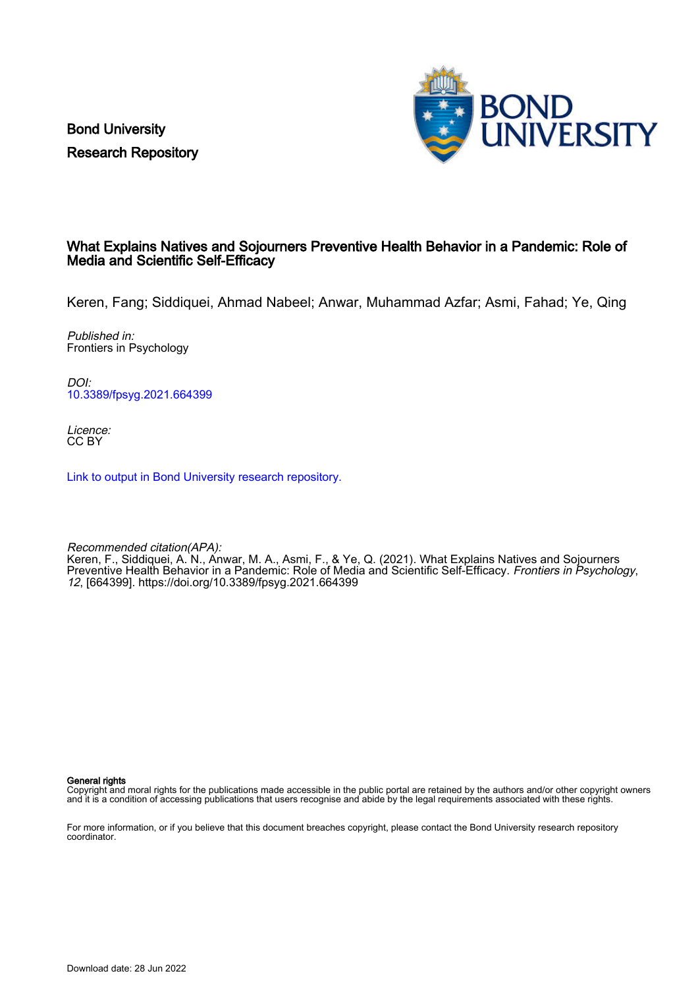Bond University Research Repository



### What Explains Natives and Sojourners Preventive Health Behavior in a Pandemic: Role of Media and Scientific Self-Efficacy

Keren, Fang; Siddiquei, Ahmad Nabeel; Anwar, Muhammad Azfar; Asmi, Fahad; Ye, Qing

Published in: Frontiers in Psychology

DOI: [10.3389/fpsyg.2021.664399](https://doi.org/10.3389/fpsyg.2021.664399)

Licence: CC BY

[Link to output in Bond University research repository.](https://research.bond.edu.au/en/publications/7cb01cfa-046f-4a8e-a9a9-d75bf665dc9a)

Recommended citation(APA): Keren, F., Siddiquei, A. N., Anwar, M. A., Asmi, F., & Ye, Q. (2021). What Explains Natives and Sojourners Preventive Health Behavior in a Pandemic: Role of Media and Scientific Self-Efficacy. Frontiers in Psychology, 12, [664399].<https://doi.org/10.3389/fpsyg.2021.664399>

General rights

Copyright and moral rights for the publications made accessible in the public portal are retained by the authors and/or other copyright owners and it is a condition of accessing publications that users recognise and abide by the legal requirements associated with these rights.

For more information, or if you believe that this document breaches copyright, please contact the Bond University research repository coordinator.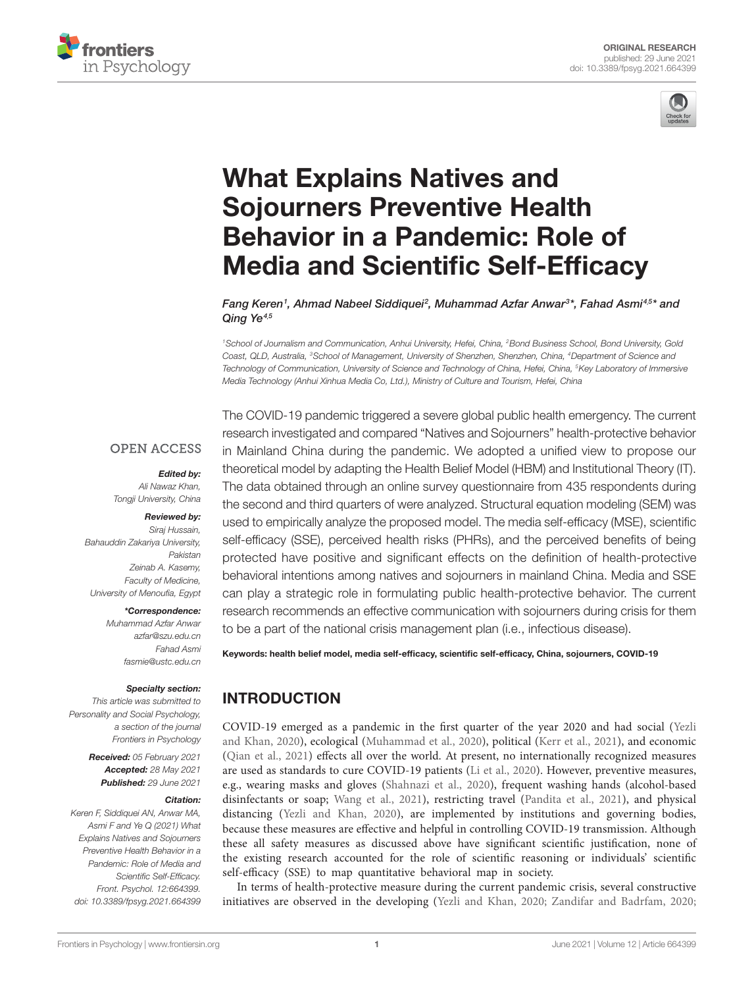



# [What Explains Natives and](https://www.frontiersin.org/articles/10.3389/fpsyg.2021.664399/full)  [Sojourners Preventive Health](https://www.frontiersin.org/articles/10.3389/fpsyg.2021.664399/full)  [Behavior in a Pandemic: Role of](https://www.frontiersin.org/articles/10.3389/fpsyg.2021.664399/full)  [Media and Scientific Self-Efficacy](https://www.frontiersin.org/articles/10.3389/fpsyg.2021.664399/full)

 $F$ ang Keren<sup>1</sup>, Ahmad Nabeel Siddiquei<sup>2</sup>, Muhammad Azfar Anwar<sup>3</sup>\*, Fahad Asmi<sup>45\*</sup> and *Qing Ye4,5*

*1School of Journalism and Communication, Anhui University, Hefei, China, 2Bond Business School, Bond University, Gold Coast, QLD, Australia, 3School of Management, University of Shenzhen, Shenzhen, China, 4Department of Science and Technology of Communication, University of Science and Technology of China, Hefei, China, 5Key Laboratory of Immersive Media Technology (Anhui Xinhua Media Co, Ltd.), Ministry of Culture and Tourism, Hefei, China*

#### **OPEN ACCESS**

*Edited by:* 

*Ali Nawaz Khan, Tongji University, China*

#### *Reviewed by:*

*Siraj Hussain, Bahauddin Zakariya University, Pakistan Zeinab A. Kasemy, Faculty of Medicine, University of Menoufia, Egypt*

#### *\*Correspondence:*

*Muhammad Azfar Anwar [azfar@szu.edu.cn](mailto:azfar@szu.edu.cn) Fahad Asmi [fasmie@ustc.edu.cn](mailto:fasmie@ustc.edu.cn)*

#### *Specialty section:*

*This article was submitted to Personality and Social Psychology, a section of the journal Frontiers in Psychology*

> *Received: 05 February 2021 Accepted: 28 May 2021 Published: 29 June 2021*

#### *Citation:*

*Keren F, Siddiquei AN, Anwar MA, Asmi F and Ye Q (2021) What Explains Natives and Sojourners Preventive Health Behavior in a Pandemic: Role of Media and Scientific Self-Efficacy. Front. Psychol. 12:664399. [doi: 10.3389/fpsyg.2021.664399](https://doi.org/10.3389/fpsyg.2021.664399)* The COVID-19 pandemic triggered a severe global public health emergency. The current research investigated and compared "Natives and Sojourners" health-protective behavior in Mainland China during the pandemic. We adopted a unified view to propose our theoretical model by adapting the Health Belief Model (HBM) and Institutional Theory (IT). The data obtained through an online survey questionnaire from 435 respondents during the second and third quarters of were analyzed. Structural equation modeling (SEM) was used to empirically analyze the proposed model. The media self-efficacy (MSE), scientific self-efficacy (SSE), perceived health risks (PHRs), and the perceived benefits of being protected have positive and significant effects on the definition of health-protective behavioral intentions among natives and sojourners in mainland China. Media and SSE can play a strategic role in formulating public health-protective behavior. The current research recommends an effective communication with sojourners during crisis for them to be a part of the national crisis management plan (i.e., infectious disease).

Keywords: health belief model, media self-efficacy, scientific self-efficacy, China, sojourners, COVID-19

# INTRODUCTION

COVID-19 emerged as a pandemic in the first quarter of the year 2020 and had social [\(Yezli](#page-12-0)  [and Khan, 2020\)](#page-12-0), ecological ([Muhammad et al., 2020\)](#page-11-0), political ([Kerr et al., 2021\)](#page-10-0), and economic [\(Qian et al., 2021\)](#page-11-1) effects all over the world. At present, no internationally recognized measures are used as standards to cure COVID-19 patients [\(Li et al., 2020](#page-11-2)). However, preventive measures, e.g., wearing masks and gloves ([Shahnazi et al., 2020\)](#page-11-3), frequent washing hands (alcohol-based disinfectants or soap; [Wang et al., 2021\)](#page-12-1), restricting travel [\(Pandita et al., 2021](#page-11-4)), and physical distancing ([Yezli and Khan, 2020](#page-12-0)), are implemented by institutions and governing bodies, because these measures are effective and helpful in controlling COVID-19 transmission. Although these all safety measures as discussed above have significant scientific justification, none of the existing research accounted for the role of scientific reasoning or individuals' scientific self-efficacy (SSE) to map quantitative behavioral map in society.

In terms of health-protective measure during the current pandemic crisis, several constructive initiatives are observed in the developing [\(Yezli and Khan, 2020;](#page-12-0) [Zandifar and Badrfam, 2020;](#page-12-2)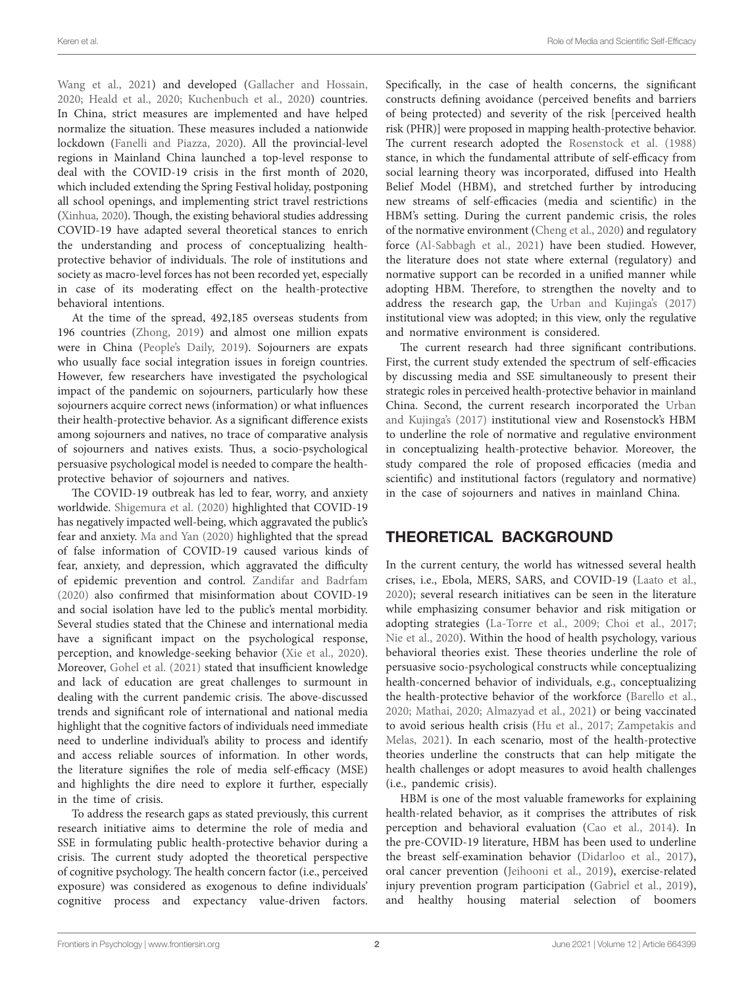[Wang et al., 2021\)](#page-12-1) and developed ([Gallacher and Hossain,](#page-10-1)  [2020;](#page-10-1) [Heald et al., 2020;](#page-10-2) [Kuchenbuch et al., 2020](#page-10-3)) countries. In China, strict measures are implemented and have helped normalize the situation. These measures included a nationwide lockdown ([Fanelli and Piazza, 2020\)](#page-10-4). All the provincial-level regions in Mainland China launched a top-level response to deal with the COVID-19 crisis in the first month of 2020, which included extending the Spring Festival holiday, postponing all school openings, and implementing strict travel restrictions [\(Xinhua, 2020\)](#page-12-3). Though, the existing behavioral studies addressing COVID-19 have adapted several theoretical stances to enrich the understanding and process of conceptualizing healthprotective behavior of individuals. The role of institutions and society as macro-level forces has not been recorded yet, especially in case of its moderating effect on the health-protective behavioral intentions.

At the time of the spread, 492,185 overseas students from 196 countries [\(Zhong, 2019\)](#page-12-4) and almost one million expats were in China [\(People's Daily, 2019\)](#page-11-5). Sojourners are expats who usually face social integration issues in foreign countries. However, few researchers have investigated the psychological impact of the pandemic on sojourners, particularly how these sojourners acquire correct news (information) or what influences their health-protective behavior. As a significant difference exists among sojourners and natives, no trace of comparative analysis of sojourners and natives exists. Thus, a socio-psychological persuasive psychological model is needed to compare the healthprotective behavior of sojourners and natives.

The COVID-19 outbreak has led to fear, worry, and anxiety worldwide. [Shigemura et al. \(2020\)](#page-11-6) highlighted that COVID-19 has negatively impacted well-being, which aggravated the public's fear and anxiety. [Ma and Yan \(2020\)](#page-11-7) highlighted that the spread of false information of COVID-19 caused various kinds of fear, anxiety, and depression, which aggravated the difficulty of epidemic prevention and control. [Zandifar and Badrfam](#page-12-2)  [\(2020\)](#page-12-2) also confirmed that misinformation about COVID-19 and social isolation have led to the public's mental morbidity. Several studies stated that the Chinese and international media have a significant impact on the psychological response, perception, and knowledge-seeking behavior ([Xie et al., 2020](#page-12-5)). Moreover, [Gohel et al. \(2021\)](#page-10-5) stated that insufficient knowledge and lack of education are great challenges to surmount in dealing with the current pandemic crisis. The above-discussed trends and significant role of international and national media highlight that the cognitive factors of individuals need immediate need to underline individual's ability to process and identify and access reliable sources of information. In other words, the literature signifies the role of media self-efficacy (MSE) and highlights the dire need to explore it further, especially in the time of crisis.

To address the research gaps as stated previously, this current research initiative aims to determine the role of media and SSE in formulating public health-protective behavior during a crisis. The current study adopted the theoretical perspective of cognitive psychology. The health concern factor (i.e., perceived exposure) was considered as exogenous to define individuals' cognitive process and expectancy value-driven factors.

Specifically, in the case of health concerns, the significant constructs defining avoidance (perceived benefits and barriers of being protected) and severity of the risk [perceived health risk (PHR)] were proposed in mapping health-protective behavior. The current research adopted the [Rosenstock et al. \(1988\)](#page-11-8) stance, in which the fundamental attribute of self-efficacy from social learning theory was incorporated, diffused into Health Belief Model (HBM), and stretched further by introducing new streams of self-efficacies (media and scientific) in the HBM's setting. During the current pandemic crisis, the roles of the normative environment ([Cheng et al., 2020\)](#page-10-6) and regulatory force ([Al-Sabbagh et al., 2021](#page-9-0)) have been studied. However, the literature does not state where external (regulatory) and normative support can be recorded in a unified manner while adopting HBM. Therefore, to strengthen the novelty and to address the research gap, the [Urban and Kujinga's \(2017\)](#page-12-6) institutional view was adopted; in this view, only the regulative and normative environment is considered.

The current research had three significant contributions. First, the current study extended the spectrum of self-efficacies by discussing media and SSE simultaneously to present their strategic roles in perceived health-protective behavior in mainland China. Second, the current research incorporated the [Urban](#page-12-6)  [and Kujinga's \(2017\)](#page-12-6) institutional view and Rosenstock's HBM to underline the role of normative and regulative environment in conceptualizing health-protective behavior. Moreover, the study compared the role of proposed efficacies (media and scientific) and institutional factors (regulatory and normative) in the case of sojourners and natives in mainland China.

# THEORETICAL BACKGROUND

In the current century, the world has witnessed several health crises, i.e., Ebola, MERS, SARS, and COVID-19 [\(Laato et al.,](#page-10-7)  [2020\)](#page-10-7); several research initiatives can be seen in the literature while emphasizing consumer behavior and risk mitigation or adopting strategies [\(La-Torre et al., 2009](#page-10-8); [Choi et al., 2017;](#page-10-9) [Nie et al., 2020\)](#page-11-9). Within the hood of health psychology, various behavioral theories exist. These theories underline the role of persuasive socio-psychological constructs while conceptualizing health-concerned behavior of individuals, e.g., conceptualizing the health-protective behavior of the workforce ([Barello et al.,](#page-9-1)  [2020;](#page-9-1) [Mathai, 2020;](#page-11-10) [Almazyad et al., 2021\)](#page-9-2) or being vaccinated to avoid serious health crisis ([Hu et al., 2017](#page-10-10); [Zampetakis and](#page-12-7)  [Melas, 2021\)](#page-12-7). In each scenario, most of the health-protective theories underline the constructs that can help mitigate the health challenges or adopt measures to avoid health challenges (i.e., pandemic crisis).

HBM is one of the most valuable frameworks for explaining health-related behavior, as it comprises the attributes of risk perception and behavioral evaluation ([Cao et al., 2014\)](#page-10-11). In the pre-COVID-19 literature, HBM has been used to underline the breast self-examination behavior [\(Didarloo et al., 2017](#page-10-12)), oral cancer prevention ([Jeihooni et al., 2019](#page-10-13)), exercise-related injury prevention program participation [\(Gabriel et al., 2019](#page-10-14)), and healthy housing material selection of boomers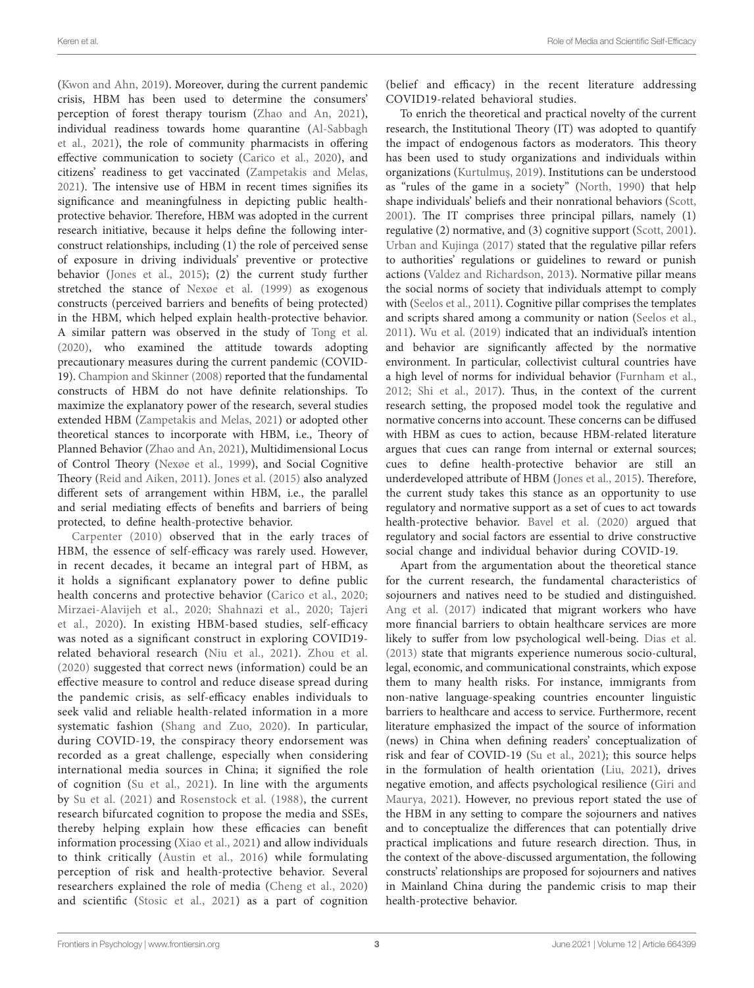([Kwon and Ahn, 2019](#page-10-15)). Moreover, during the current pandemic crisis, HBM has been used to determine the consumers' perception of forest therapy tourism [\(Zhao and An, 2021](#page-12-8)), individual readiness towards home quarantine [\(Al-Sabbagh](#page-9-0)  [et al., 2021\)](#page-9-0), the role of community pharmacists in offering effective communication to society ([Carico et al., 2020](#page-10-16)), and citizens' readiness to get vaccinated ([Zampetakis and Melas,](#page-12-7)  [2021\)](#page-12-7). The intensive use of HBM in recent times signifies its significance and meaningfulness in depicting public healthprotective behavior. Therefore, HBM was adopted in the current research initiative, because it helps define the following interconstruct relationships, including (1) the role of perceived sense of exposure in driving individuals' preventive or protective behavior [\(Jones et al., 2015\)](#page-10-17); (2) the current study further stretched the stance of [Nexøe et al. \(1999\)](#page-11-11) as exogenous constructs (perceived barriers and benefits of being protected) in the HBM, which helped explain health-protective behavior. A similar pattern was observed in the study of [Tong et al.](#page-11-12)  [\(2020\)](#page-11-12), who examined the attitude towards adopting precautionary measures during the current pandemic (COVID-19). [Champion and Skinner \(2008\)](#page-10-18) reported that the fundamental constructs of HBM do not have definite relationships. To maximize the explanatory power of the research, several studies extended HBM [\(Zampetakis and Melas, 2021\)](#page-12-7) or adopted other theoretical stances to incorporate with HBM, i.e., Theory of Planned Behavior ([Zhao and An, 2021](#page-12-8)), Multidimensional Locus of Control Theory ([Nexøe et al., 1999](#page-11-11)), and Social Cognitive Theory [\(Reid and Aiken, 2011\)](#page-11-13). [Jones et al. \(2015\)](#page-10-17) also analyzed different sets of arrangement within HBM, i.e., the parallel and serial mediating effects of benefits and barriers of being protected, to define health-protective behavior.

[Carpenter \(2010\)](#page-10-19) observed that in the early traces of HBM, the essence of self-efficacy was rarely used. However, in recent decades, it became an integral part of HBM, as it holds a significant explanatory power to define public health concerns and protective behavior [\(Carico et al., 2020](#page-10-16); [Mirzaei-Alavijeh et al., 2020;](#page-11-14) [Shahnazi et al., 2020;](#page-11-3) [Tajeri](#page-11-15)  [et al., 2020](#page-11-15)). In existing HBM-based studies, self-efficacy was noted as a significant construct in exploring COVID19 related behavioral research ([Niu et al., 2021](#page-11-16)). [Zhou et al.](#page-12-9)  [\(2020\)](#page-12-9) suggested that correct news (information) could be an effective measure to control and reduce disease spread during the pandemic crisis, as self-efficacy enables individuals to seek valid and reliable health-related information in a more systematic fashion ([Shang and Zuo, 2020\)](#page-11-17). In particular, during COVID-19, the conspiracy theory endorsement was recorded as a great challenge, especially when considering international media sources in China; it signified the role of cognition ([Su et al., 2021\)](#page-11-18). In line with the arguments by [Su et al. \(2021\)](#page-11-18) and [Rosenstock et al. \(1988\),](#page-11-8) the current research bifurcated cognition to propose the media and SSEs, thereby helping explain how these efficacies can benefit information processing ([Xiao et al., 2021](#page-12-10)) and allow individuals to think critically [\(Austin et al., 2016](#page-9-3)) while formulating perception of risk and health-protective behavior. Several researchers explained the role of media ([Cheng et al., 2020](#page-10-6)) and scientific [\(Stosic et al., 2021](#page-11-19)) as a part of cognition

(belief and efficacy) in the recent literature addressing COVID19-related behavioral studies.

To enrich the theoretical and practical novelty of the current research, the Institutional Theory (IT) was adopted to quantify the impact of endogenous factors as moderators. This theory has been used to study organizations and individuals within organizations ([Kurtulmu](#page-10-20)ş, 2019). Institutions can be understood as "rules of the game in a society" ([North, 1990\)](#page-11-20) that help shape individuals' beliefs and their nonrational behaviors ([Scott,](#page-11-21)  [2001\)](#page-11-21). The IT comprises three principal pillars, namely (1) regulative (2) normative, and (3) cognitive support ([Scott, 2001](#page-11-21)). [Urban and Kujinga \(2017\)](#page-12-6) stated that the regulative pillar refers to authorities' regulations or guidelines to reward or punish actions [\(Valdez and Richardson, 2013](#page-12-11)). Normative pillar means the social norms of society that individuals attempt to comply with ([Seelos et al., 2011\)](#page-11-22). Cognitive pillar comprises the templates and scripts shared among a community or nation ([Seelos et al.,](#page-11-22)  [2011\)](#page-11-22). [Wu et al. \(2019\)](#page-12-12) indicated that an individual's intention and behavior are significantly affected by the normative environment. In particular, collectivist cultural countries have a high level of norms for individual behavior ([Furnham et al.,](#page-10-21)  [2012;](#page-10-21) [Shi et al., 2017](#page-11-23)). Thus, in the context of the current research setting, the proposed model took the regulative and normative concerns into account. These concerns can be diffused with HBM as cues to action, because HBM-related literature argues that cues can range from internal or external sources; cues to define health-protective behavior are still an underdeveloped attribute of HBM ([Jones et al., 2015\)](#page-10-17). Therefore, the current study takes this stance as an opportunity to use regulatory and normative support as a set of cues to act towards health-protective behavior. [Bavel et al. \(2020\)](#page-10-22) argued that regulatory and social factors are essential to drive constructive social change and individual behavior during COVID-19.

Apart from the argumentation about the theoretical stance for the current research, the fundamental characteristics of sojourners and natives need to be studied and distinguished. [Ang et al. \(2017\)](#page-9-4) indicated that migrant workers who have more financial barriers to obtain healthcare services are more likely to suffer from low psychological well-being. [Dias et al.](#page-10-23)  [\(2013\)](#page-10-23) state that migrants experience numerous socio-cultural, legal, economic, and communicational constraints, which expose them to many health risks. For instance, immigrants from non-native language-speaking countries encounter linguistic barriers to healthcare and access to service. Furthermore, recent literature emphasized the impact of the source of information (news) in China when defining readers' conceptualization of risk and fear of COVID-19 [\(Su et al., 2021](#page-11-18)); this source helps in the formulation of health orientation [\(Liu, 2021](#page-11-24)), drives negative emotion, and affects psychological resilience [\(Giri and](#page-10-24)  [Maurya, 2021](#page-10-24)). However, no previous report stated the use of the HBM in any setting to compare the sojourners and natives and to conceptualize the differences that can potentially drive practical implications and future research direction. Thus, in the context of the above-discussed argumentation, the following constructs' relationships are proposed for sojourners and natives in Mainland China during the pandemic crisis to map their health-protective behavior.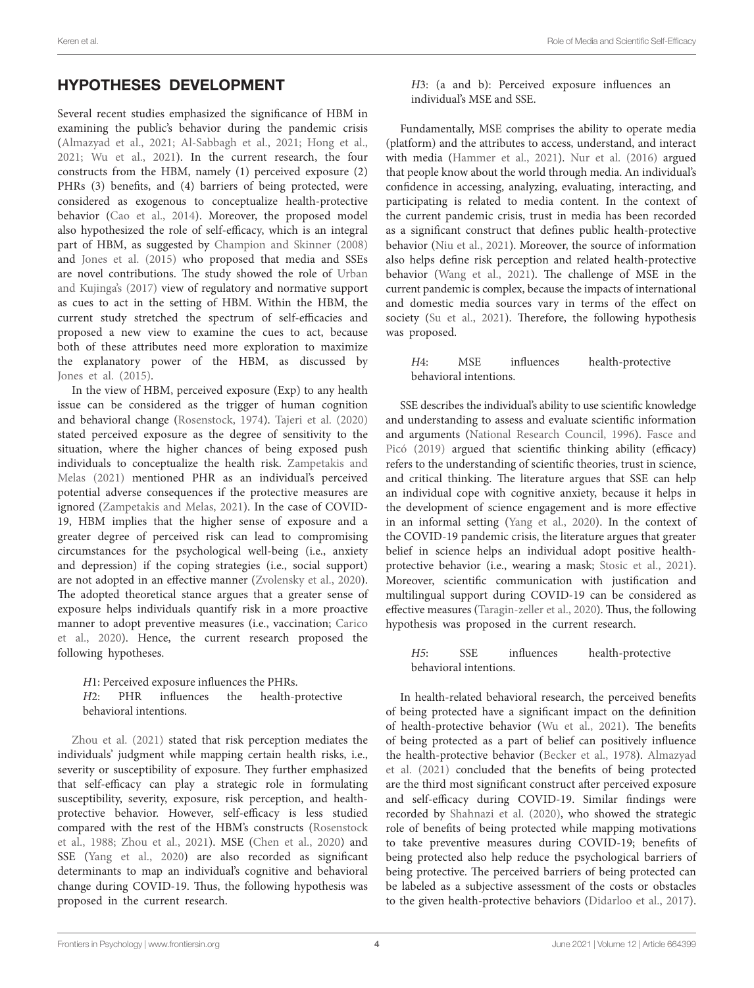# HYPOTHESES DEVELOPMENT

Several recent studies emphasized the significance of HBM in examining the public's behavior during the pandemic crisis ([Almazyad et al., 2021](#page-9-2); [Al-Sabbagh et al., 2021](#page-9-0); [Hong et al.,](#page-10-25)  [2021;](#page-10-25) [Wu et al., 2021](#page-12-13)). In the current research, the four constructs from the HBM, namely (1) perceived exposure (2) PHRs (3) benefits, and (4) barriers of being protected, were considered as exogenous to conceptualize health-protective behavior [\(Cao et al., 2014](#page-10-11)). Moreover, the proposed model also hypothesized the role of self-efficacy, which is an integral part of HBM, as suggested by [Champion and Skinner \(2008\)](#page-10-18) and [Jones et al. \(2015\)](#page-10-17) who proposed that media and SSEs are novel contributions. The study showed the role of [Urban](#page-12-6)  [and Kujinga's \(2017\)](#page-12-6) view of regulatory and normative support as cues to act in the setting of HBM. Within the HBM, the current study stretched the spectrum of self-efficacies and proposed a new view to examine the cues to act, because both of these attributes need more exploration to maximize the explanatory power of the HBM, as discussed by [Jones et al. \(2015\)](#page-10-17).

In the view of HBM, perceived exposure (Exp) to any health issue can be considered as the trigger of human cognition and behavioral change ([Rosenstock, 1974](#page-11-25)). [Tajeri et al. \(2020\)](#page-11-15) stated perceived exposure as the degree of sensitivity to the situation, where the higher chances of being exposed push individuals to conceptualize the health risk. [Zampetakis and](#page-12-7)  [Melas \(2021\)](#page-12-7) mentioned PHR as an individual's perceived potential adverse consequences if the protective measures are ignored [\(Zampetakis and Melas, 2021](#page-12-7)). In the case of COVID-19, HBM implies that the higher sense of exposure and a greater degree of perceived risk can lead to compromising circumstances for the psychological well-being (i.e., anxiety and depression) if the coping strategies (i.e., social support) are not adopted in an effective manner ([Zvolensky et al., 2020](#page-12-14)). The adopted theoretical stance argues that a greater sense of exposure helps individuals quantify risk in a more proactive manner to adopt preventive measures (i.e., vaccination; [Carico](#page-10-16)  [et al., 2020\)](#page-10-16). Hence, the current research proposed the following hypotheses.

*H*1: Perceived exposure influences the PHRs.<br>*H*2: PHR influences the health-n PHR influences the health-protective behavioral intentions.

[Zhou et al. \(2021\)](#page-12-15) stated that risk perception mediates the individuals' judgment while mapping certain health risks, i.e., severity or susceptibility of exposure. They further emphasized that self-efficacy can play a strategic role in formulating susceptibility, severity, exposure, risk perception, and healthprotective behavior. However, self-efficacy is less studied compared with the rest of the HBM's constructs [\(Rosenstock](#page-11-8)  [et al., 1988;](#page-11-8) [Zhou et al., 2021\)](#page-12-15). MSE ([Chen et al., 2020\)](#page-10-26) and SSE ([Yang et al., 2020](#page-12-16)) are also recorded as significant determinants to map an individual's cognitive and behavioral change during COVID-19. Thus, the following hypothesis was proposed in the current research.

*H*3: (a and b): Perceived exposure influences an individual's MSE and SSE.

Fundamentally, MSE comprises the ability to operate media (platform) and the attributes to access, understand, and interact with media [\(Hammer et al., 2021\)](#page-10-27). [Nur et al. \(2016\)](#page-11-26) argued that people know about the world through media. An individual's confidence in accessing, analyzing, evaluating, interacting, and participating is related to media content. In the context of the current pandemic crisis, trust in media has been recorded as a significant construct that defines public health-protective behavior ([Niu et al., 2021](#page-11-16)). Moreover, the source of information also helps define risk perception and related health-protective behavior [\(Wang et al., 2021](#page-12-1)). The challenge of MSE in the current pandemic is complex, because the impacts of international and domestic media sources vary in terms of the effect on society (Su et al., 2021). Therefore, the following hypothesis was proposed.

*H*4: MSE influences health-protective behavioral intentions.

SSE describes the individual's ability to use scientific knowledge and understanding to assess and evaluate scientific information and arguments ([National Research Council, 1996](#page-11-27)). [Fasce and](#page-10-28)  [Picó \(2019\)](#page-10-28) argued that scientific thinking ability (efficacy) refers to the understanding of scientific theories, trust in science, and critical thinking. The literature argues that SSE can help an individual cope with cognitive anxiety, because it helps in the development of science engagement and is more effective in an informal setting ([Yang et al., 2020](#page-12-16)). In the context of the COVID-19 pandemic crisis, the literature argues that greater belief in science helps an individual adopt positive healthprotective behavior (i.e., wearing a mask; [Stosic et al., 2021](#page-11-19)). Moreover, scientific communication with justification and multilingual support during COVID-19 can be considered as effective measures ([Taragin-zeller et al., 2020](#page-11-28)). Thus, the following hypothesis was proposed in the current research.

*H5*: SSE influences health-protective behavioral intentions.

In health-related behavioral research, the perceived benefits of being protected have a significant impact on the definition of health-protective behavior ([Wu et al., 2021](#page-12-13)). The benefits of being protected as a part of belief can positively influence the health-protective behavior [\(Becker et al., 1978](#page-10-29)). [Almazyad](#page-9-2)  [et al. \(2021\)](#page-9-2) concluded that the benefits of being protected are the third most significant construct after perceived exposure and self-efficacy during COVID-19. Similar findings were recorded by [Shahnazi et al. \(2020\),](#page-11-3) who showed the strategic role of benefits of being protected while mapping motivations to take preventive measures during COVID-19; benefits of being protected also help reduce the psychological barriers of being protective. The perceived barriers of being protected can be labeled as a subjective assessment of the costs or obstacles to the given health-protective behaviors ([Didarloo et al., 2017](#page-10-12)).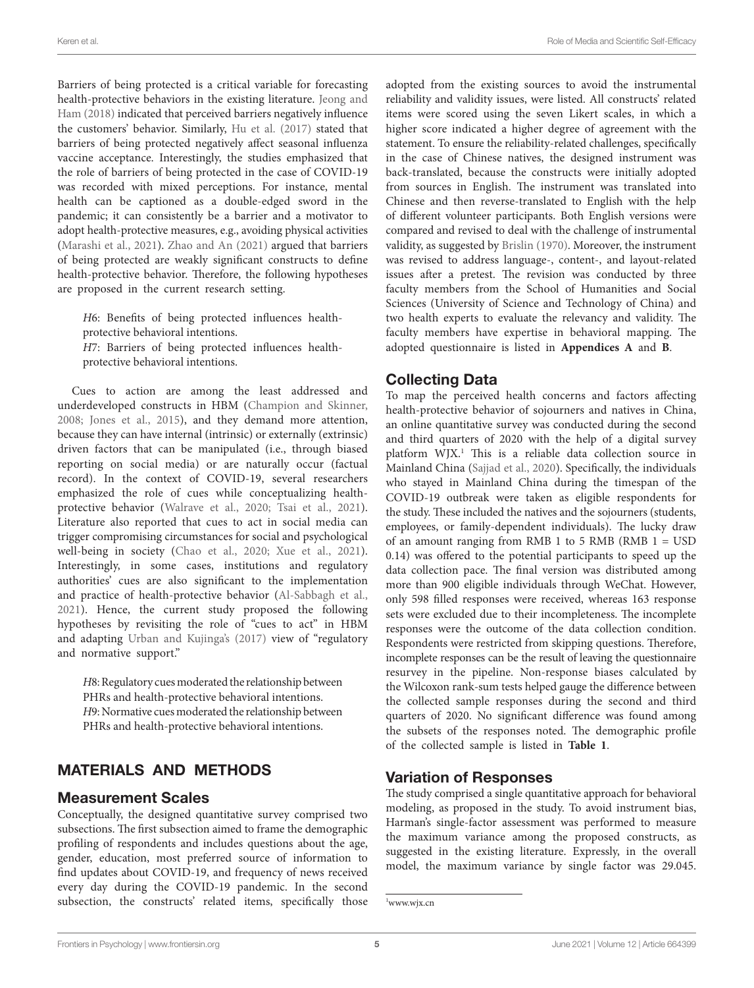Barriers of being protected is a critical variable for forecasting health-protective behaviors in the existing literature. [Jeong and](#page-10-30)  [Ham \(2018\)](#page-10-30) indicated that perceived barriers negatively influence the customers' behavior. Similarly, [Hu et al. \(2017\)](#page-10-10) stated that barriers of being protected negatively affect seasonal influenza vaccine acceptance. Interestingly, the studies emphasized that the role of barriers of being protected in the case of COVID-19 was recorded with mixed perceptions. For instance, mental health can be captioned as a double-edged sword in the pandemic; it can consistently be a barrier and a motivator to adopt health-protective measures, e.g., avoiding physical activities ([Marashi et al., 2021](#page-11-29)). [Zhao and An \(2021\)](#page-12-8) argued that barriers of being protected are weakly significant constructs to define health-protective behavior. Therefore, the following hypotheses are proposed in the current research setting.

*H*6: Benefits of being protected influences healthprotective behavioral intentions. *H*7: Barriers of being protected influences healthprotective behavioral intentions.

Cues to action are among the least addressed and underdeveloped constructs in HBM ([Champion and Skinner,](#page-10-18)  [2008;](#page-10-18) [Jones et al., 2015](#page-10-17)), and they demand more attention, because they can have internal (intrinsic) or externally (extrinsic) driven factors that can be manipulated (i.e., through biased reporting on social media) or are naturally occur (factual record). In the context of COVID-19, several researchers emphasized the role of cues while conceptualizing healthprotective behavior ([Walrave et al., 2020;](#page-12-17) [Tsai et al., 2021](#page-11-30)). Literature also reported that cues to act in social media can trigger compromising circumstances for social and psychological well-being in society ([Chao et al., 2020;](#page-10-31) [Xue et al., 2021](#page-12-18)). Interestingly, in some cases, institutions and regulatory authorities' cues are also significant to the implementation and practice of health-protective behavior ([Al-Sabbagh et al.,](#page-9-0)  [2021\)](#page-9-0). Hence, the current study proposed the following hypotheses by revisiting the role of "cues to act" in HBM and adapting [Urban and Kujinga's \(2017\)](#page-12-6) view of "regulatory and normative support."

*H*8: Regulatory cues moderated the relationship between PHRs and health-protective behavioral intentions. *H*9: Normative cues moderated the relationship between PHRs and health-protective behavioral intentions.

# MATERIALS AND METHODS

### Measurement Scales

Conceptually, the designed quantitative survey comprised two subsections. The first subsection aimed to frame the demographic profiling of respondents and includes questions about the age, gender, education, most preferred source of information to find updates about COVID-19, and frequency of news received every day during the COVID-19 pandemic. In the second subsection, the constructs' related items, specifically those

adopted from the existing sources to avoid the instrumental reliability and validity issues, were listed. All constructs' related items were scored using the seven Likert scales, in which a higher score indicated a higher degree of agreement with the statement. To ensure the reliability-related challenges, specifically in the case of Chinese natives, the designed instrument was back-translated, because the constructs were initially adopted from sources in English. The instrument was translated into Chinese and then reverse-translated to English with the help of different volunteer participants. Both English versions were compared and revised to deal with the challenge of instrumental validity, as suggested by [Brislin \(1970\)](#page-10-32). Moreover, the instrument was revised to address language-, content-, and layout-related issues after a pretest. The revision was conducted by three faculty members from the School of Humanities and Social Sciences (University of Science and Technology of China) and two health experts to evaluate the relevancy and validity. The faculty members have expertise in behavioral mapping. The adopted questionnaire is listed in **[Appendices A](#page-9-5)** and **[B](#page-9-5)**.

# Collecting Data

To map the perceived health concerns and factors affecting health-protective behavior of sojourners and natives in China, an online quantitative survey was conducted during the second and third quarters of 2020 with the help of a digital survey platform WJX.<sup>[1](#page-5-0)</sup> This is a reliable data collection source in Mainland China [\(Sajjad et al., 2020\)](#page-11-31). Specifically, the individuals who stayed in Mainland China during the timespan of the COVID-19 outbreak were taken as eligible respondents for the study. These included the natives and the sojourners (students, employees, or family-dependent individuals). The lucky draw of an amount ranging from RMB 1 to 5 RMB (RMB  $1 =$  USD 0.14) was offered to the potential participants to speed up the data collection pace. The final version was distributed among more than 900 eligible individuals through WeChat. However, only 598 filled responses were received, whereas 163 response sets were excluded due to their incompleteness. The incomplete responses were the outcome of the data collection condition. Respondents were restricted from skipping questions. Therefore, incomplete responses can be the result of leaving the questionnaire resurvey in the pipeline. Non-response biases calculated by the Wilcoxon rank-sum tests helped gauge the difference between the collected sample responses during the second and third quarters of 2020. No significant difference was found among the subsets of the responses noted. The demographic profile of the collected sample is listed in **[Table 1](#page-6-0)**.

# Variation of Responses

The study comprised a single quantitative approach for behavioral modeling, as proposed in the study. To avoid instrument bias, Harman's single-factor assessment was performed to measure the maximum variance among the proposed constructs, as suggested in the existing literature. Expressly, in the overall model, the maximum variance by single factor was 29.045.

<span id="page-5-0"></span><sup>1</sup> www.wjx.cn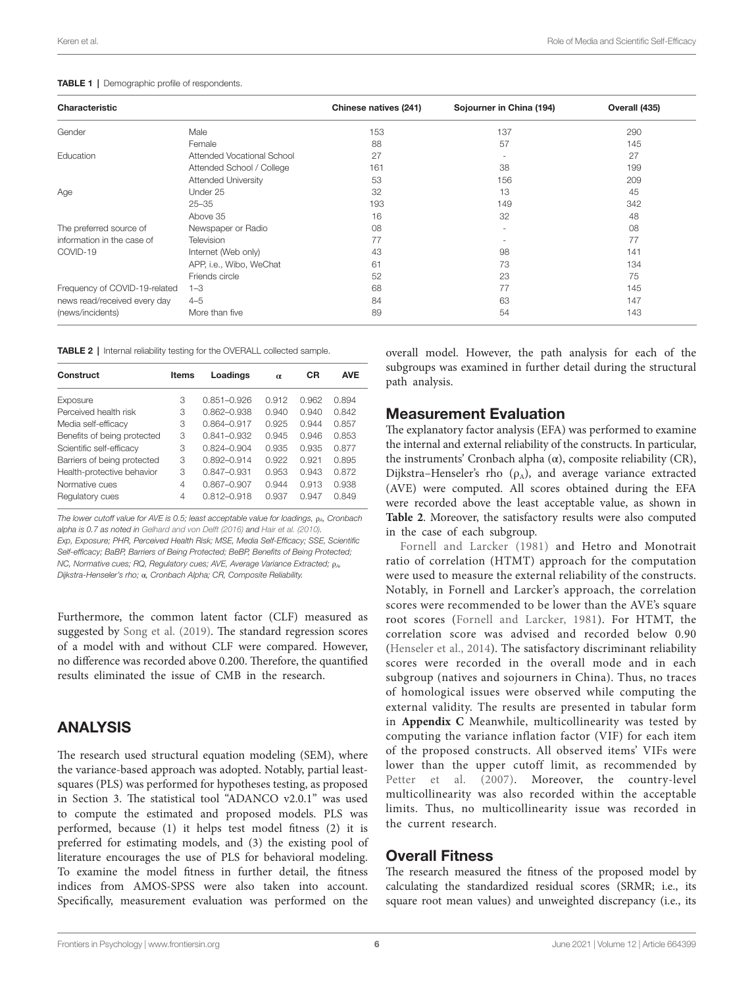| Characteristic                |                            | Chinese natives (241) | Sojourner in China (194) | Overall (435) |
|-------------------------------|----------------------------|-----------------------|--------------------------|---------------|
| Gender                        | Male                       | 153                   | 137                      | 290           |
|                               | Female                     | 88                    | 57                       | 145           |
| Education                     | Attended Vocational School | 27                    | $\sim$                   | 27            |
|                               | Attended School / College  | 161                   | 38                       | 199           |
|                               | <b>Attended University</b> | 53                    | 156                      | 209           |
| Age                           | Under 25                   | 32                    | 13                       | 45            |
|                               | $25 - 35$                  | 193                   | 149                      | 342           |
|                               | Above 35                   | 16                    | 32                       | 48            |
| The preferred source of       | Newspaper or Radio         | 08                    | $\sim$                   | 08            |
| information in the case of    | Television                 | 77                    | $\overline{\phantom{a}}$ | 77            |
| COVID-19                      | Internet (Web only)        | 43                    | 98                       | 141           |
|                               | APP, i.e., Wibo, WeChat    | 61                    | 73                       | 134           |
|                               | Friends circle             | 52                    | 23                       | 75            |
| Frequency of COVID-19-related | $1 - 3$                    | 68                    | 77                       | 145           |
| news read/received every day  | $4 - 5$                    | 84                    | 63                       | 147           |
| (news/incidents)              | More than five             | 89                    | 54                       | 143           |

#### <span id="page-6-0"></span>TABLE 1 | Demographic profile of respondents.

<span id="page-6-1"></span>TABLE 2 | Internal reliability testing for the OVERALL collected sample.

| Construct                   | <b>Items</b> | Loadings        | $\alpha$ | CR    | <b>AVE</b> |
|-----------------------------|--------------|-----------------|----------|-------|------------|
| Exposure                    | З            | $0.851 - 0.926$ | 0.912    | 0.962 | 0.894      |
| Perceived health risk       | 3            | $0.862 - 0.938$ | 0.940    | 0.940 | 0.842      |
| Media self-efficacy         | З            | $0.864 - 0.917$ | 0.925    | 0.944 | 0.857      |
| Benefits of being protected | 3            | $0.841 - 0.932$ | 0.945    | 0.946 | 0.853      |
| Scientific self-efficacy    | З            | $0.824 - 0.904$ | 0.935    | 0.935 | 0.877      |
| Barriers of being protected | 3            | $0.892 - 0.914$ | 0.922    | 0.921 | 0.895      |
| Health-protective behavior  | 3            | $0.847 - 0.931$ | 0.953    | 0.943 | 0.872      |
| Normative cues              | 4            | $0.867 - 0.907$ | 0.944    | 0.913 | 0.938      |
| Regulatory cues             | 4            | 0812-0918       | 0.937    | 0.947 | 0.849      |

*The lower cutoff value for AVE is 0.5; least acceptable value for loadings, ρ<sub>A</sub>, Cronbach alpha is 0.7 as noted in [Gelhard and von Delft \(2016\)](#page-10-35) and [Hair et al. \(2010\).](#page-10-36) Exp, Exposure; PHR, Perceived Health Risk; MSE, Media Self-Efficacy; SSE, Scientific Self-efficacy; BaBP, Barriers of Being Protected; BeBP, Benefits of Being Protected; NC, Normative cues; RQ, Regulatory cues; AVE, Average Variance Extracted; p<sub>A</sub>, Dijkstra-Henseler's rho;* α*, Cronbach Alpha; CR, Composite Reliability.*

Furthermore, the common latent factor (CLF) measured as suggested by [Song et al. \(2019\)](#page-11-32). The standard regression scores of a model with and without CLF were compared. However, no difference was recorded above 0.200. Therefore, the quantified results eliminated the issue of CMB in the research.

### ANALYSIS

The research used structural equation modeling (SEM), where the variance-based approach was adopted. Notably, partial leastsquares (PLS) was performed for hypotheses testing, as proposed in Section 3. The statistical tool "ADANCO v2.0.1" was used to compute the estimated and proposed models. PLS was performed, because (1) it helps test model fitness (2) it is preferred for estimating models, and (3) the existing pool of literature encourages the use of PLS for behavioral modeling. To examine the model fitness in further detail, the fitness indices from AMOS-SPSS were also taken into account. Specifically, measurement evaluation was performed on the overall model. However, the path analysis for each of the subgroups was examined in further detail during the structural path analysis.

### Measurement Evaluation

The explanatory factor analysis (EFA) was performed to examine the internal and external reliability of the constructs. In particular, the instruments' Cronbach alpha (α), composite reliability (CR), Dijkstra–Henseler's rho  $(\rho_A)$ , and average variance extracted (AVE) were computed. All scores obtained during the EFA were recorded above the least acceptable value, as shown in **[Table 2](#page-6-1)**. Moreover, the satisfactory results were also computed in the case of each subgroup.

[Fornell and Larcker \(1981\)](#page-10-33) and Hetro and Monotrait ratio of correlation (HTMT) approach for the computation were used to measure the external reliability of the constructs. Notably, in Fornell and Larcker's approach, the correlation scores were recommended to be lower than the AVE's square root scores [\(Fornell and Larcker, 1981\)](#page-10-33). For HTMT, the correlation score was advised and recorded below 0.90 [\(Henseler et al., 2014](#page-10-34)). The satisfactory discriminant reliability scores were recorded in the overall mode and in each subgroup (natives and sojourners in China). Thus, no traces of homological issues were observed while computing the external validity. The results are presented in tabular form in **[Appendix C](#page-9-5)** Meanwhile, multicollinearity was tested by computing the variance inflation factor (VIF) for each item of the proposed constructs. All observed items' VIFs were lower than the upper cutoff limit, as recommended by Petter et al. (2007). Moreover, the country-level multicollinearity was also recorded within the acceptable limits. Thus, no multicollinearity issue was recorded in the current research.

### Overall Fitness

The research measured the fitness of the proposed model by calculating the standardized residual scores (SRMR; i.e., its square root mean values) and unweighted discrepancy (i.e., its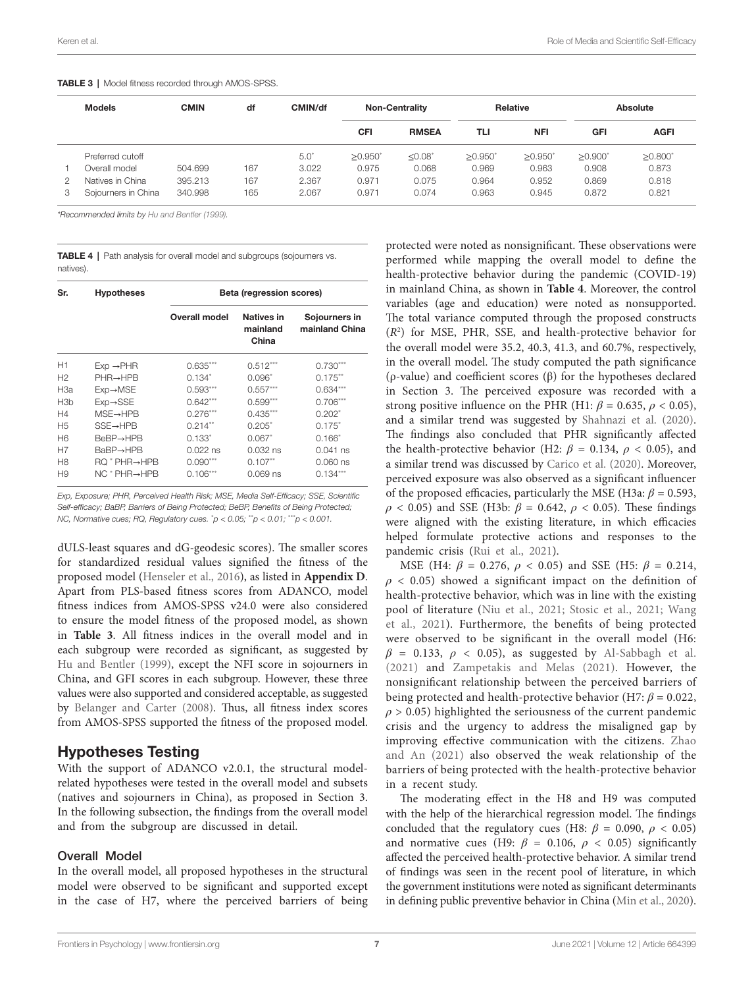| <b>Models</b>       | <b>CMIN</b> | df  | CMIN/df       | <b>Non-Centrality</b> |              | <b>Relative</b> |                       | Absolute       |                |
|---------------------|-------------|-----|---------------|-----------------------|--------------|-----------------|-----------------------|----------------|----------------|
|                     |             |     |               | CFI                   | <b>RMSEA</b> | TLI             | <b>NFI</b>            | <b>GFI</b>     | <b>AGFI</b>    |
| Preferred cutoff    |             |     | $5.0^{\circ}$ | >0.950                | $< 0.08^*$   | >0.950          | $>0.950$ <sup>*</sup> | $\geq 0.900^*$ | $\geq 0.800^*$ |
| Overall model       | 504.699     | 167 | 3.022         | 0.975                 | 0.068        | 0.969           | 0.963                 | 0.908          | 0.873          |
| Natives in China    | 395.213     | 167 | 2.367         | 0.971                 | 0.075        | 0.964           | 0.952                 | 0.869          | 0.818          |
| Sojourners in China | 340.998     | 165 | 2.067         | 0.971                 | 0.074        | 0.963           | 0.945                 | 0.872          | 0.821          |

#### <span id="page-7-0"></span>TABLE 3 | Model fitness recorded through AMOS-SPSS.

*\*Recommended limits by [Hu and Bentler \(1999\).](#page-10-38)*

<span id="page-7-1"></span>TABLE 4 | Path analysis for overall model and subgroups (sojourners vs. natives).

| Sr.             | <b>Hypotheses</b>      | Beta (regression scores) |                                        |                                 |  |  |
|-----------------|------------------------|--------------------------|----------------------------------------|---------------------------------|--|--|
|                 |                        | <b>Overall model</b>     | <b>Natives in</b><br>mainland<br>China | Sojourners in<br>mainland China |  |  |
| H1              | $Exp \rightarrow PHR$  | $0.635***$               | $0.512***$                             | $0.730***$                      |  |  |
| H <sub>2</sub>  | $PHR \rightarrow HPB$  | $0.134*$                 | $0.096*$                               | $0.175***$                      |  |  |
| H <sub>3a</sub> | $Exp \rightarrow MSE$  | $0.593***$               | $0.557***$                             | $0.634***$                      |  |  |
| H3b             | $Exp \rightarrow SSE$  | $0.642***$               | $0.599***$                             | $0.706***$                      |  |  |
| H4              | $MSE \rightarrow HPB$  | $0.276***$               | $0.435***$                             | $0.202*$                        |  |  |
| H <sub>5</sub>  | $SSE \rightarrow HPB$  | $0.214**$                | $0.205*$                               | $0.175*$                        |  |  |
| H <sub>6</sub>  | $BeBP \rightarrow HPB$ | $0.133*$                 | $0.067*$                               | $0.166*$                        |  |  |
| H7              | BaBP→HPB               | $0.022$ ns               | $0.032$ ns                             | $0.041$ ns                      |  |  |
| H8              | <b>RQ * PHR→HPB</b>    | $0.090***$               | $0.107**$                              | 0.060 ns                        |  |  |
| H9              | NC * PHR→HPB           | $0.106***$               | 0.069 ns                               | $0.134***$                      |  |  |

*Exp, Exposure; PHR, Perceived Health Risk; MSE, Media Self-Efficacy; SSE, Scientific Self-efficacy; BaBP, Barriers of Being Protected; BeBP, Benefits of Being Protected; NC, Normative cues; RQ, Regulatory cues.* \* *p < 0.05;* \*\**p < 0.01;* \*\*\**p < 0.001.*

dULS-least squares and dG-geodesic scores). The smaller scores for standardized residual values signified the fitness of the proposed model ([Henseler et al., 2016\)](#page-10-37), as listed in **[Appendix D](#page-9-5)**. Apart from PLS-based fitness scores from ADANCO, model fitness indices from AMOS-SPSS v24.0 were also considered to ensure the model fitness of the proposed model, as shown in **[Table 3](#page-7-0)**. All fitness indices in the overall model and in each subgroup were recorded as significant, as suggested by [Hu and Bentler \(1999\)](#page-10-38), except the NFI score in sojourners in China, and GFI scores in each subgroup. However, these three values were also supported and considered acceptable, as suggested by [Belanger and Carter \(2008\)](#page-10-39). Thus, all fitness index scores from AMOS-SPSS supported the fitness of the proposed model.

# Hypotheses Testing

With the support of ADANCO v2.0.1, the structural modelrelated hypotheses were tested in the overall model and subsets (natives and sojourners in China), as proposed in Section 3. In the following subsection, the findings from the overall model and from the subgroup are discussed in detail.

#### Overall Model

In the overall model, all proposed hypotheses in the structural model were observed to be significant and supported except in the case of H7, where the perceived barriers of being

protected were noted as nonsignificant. These observations were performed while mapping the overall model to define the health-protective behavior during the pandemic (COVID-19) in mainland China, as shown in **[Table 4](#page-7-1)**. Moreover, the control variables (age and education) were noted as nonsupported. The total variance computed through the proposed constructs (*R*<sup>2</sup> ) for MSE, PHR, SSE, and health-protective behavior for the overall model were 35.2, 40.3, 41.3, and 60.7%, respectively, in the overall model. The study computed the path significance (ρ-value) and coefficient scores (β) for the hypotheses declared in Section 3. The perceived exposure was recorded with a strong positive influence on the PHR (H1:  $\beta$  = 0.635,  $\rho$  < 0.05), and a similar trend was suggested by [Shahnazi et al. \(2020\).](#page-11-3) The findings also concluded that PHR significantly affected the health-protective behavior (H2:  $\beta$  = 0.134,  $\rho$  < 0.05), and a similar trend was discussed by [Carico et al. \(2020\)](#page-10-16). Moreover, perceived exposure was also observed as a significant influencer of the proposed efficacies, particularly the MSE (H3a:  $\beta$  = 0.593, *ρ* < 0.05) and SSE (H3b: *β* = 0.642, *ρ* < 0.05). These findings were aligned with the existing literature, in which efficacies helped formulate protective actions and responses to the pandemic crisis ([Rui et al., 2021](#page-11-34)).

MSE (H4:  $\beta = 0.276$ ,  $\rho < 0.05$ ) and SSE (H5:  $\beta = 0.214$ ,  $\rho$  < 0.05) showed a significant impact on the definition of health-protective behavior, which was in line with the existing pool of literature ([Niu et al., 2021](#page-11-16); [Stosic et al., 2021;](#page-11-19) [Wang](#page-12-1)  [et al., 2021](#page-12-1)). Furthermore, the benefits of being protected were observed to be significant in the overall model (H6:  $\beta$  = 0.133,  $\rho$  < 0.05), as suggested by Al-Sabbagh et al. [\(2021\)](#page-9-0) and [Zampetakis and Melas \(2021\).](#page-12-7) However, the nonsignificant relationship between the perceived barriers of being protected and health-protective behavior (H7:  $\beta$  = 0.022,  $\rho$  > 0.05) highlighted the seriousness of the current pandemic crisis and the urgency to address the misaligned gap by improving effective communication with the citizens. [Zhao](#page-12-8)  [and An \(2021\)](#page-12-8) also observed the weak relationship of the barriers of being protected with the health-protective behavior in a recent study.

The moderating effect in the H8 and H9 was computed with the help of the hierarchical regression model. The findings concluded that the regulatory cues (H8:  $\beta$  = 0.090,  $\rho$  < 0.05) and normative cues (H9:  $\beta$  = 0.106,  $\rho$  < 0.05) significantly affected the perceived health-protective behavior. A similar trend of findings was seen in the recent pool of literature, in which the government institutions were noted as significant determinants in defining public preventive behavior in China ([Min et al., 2020\)](#page-11-35).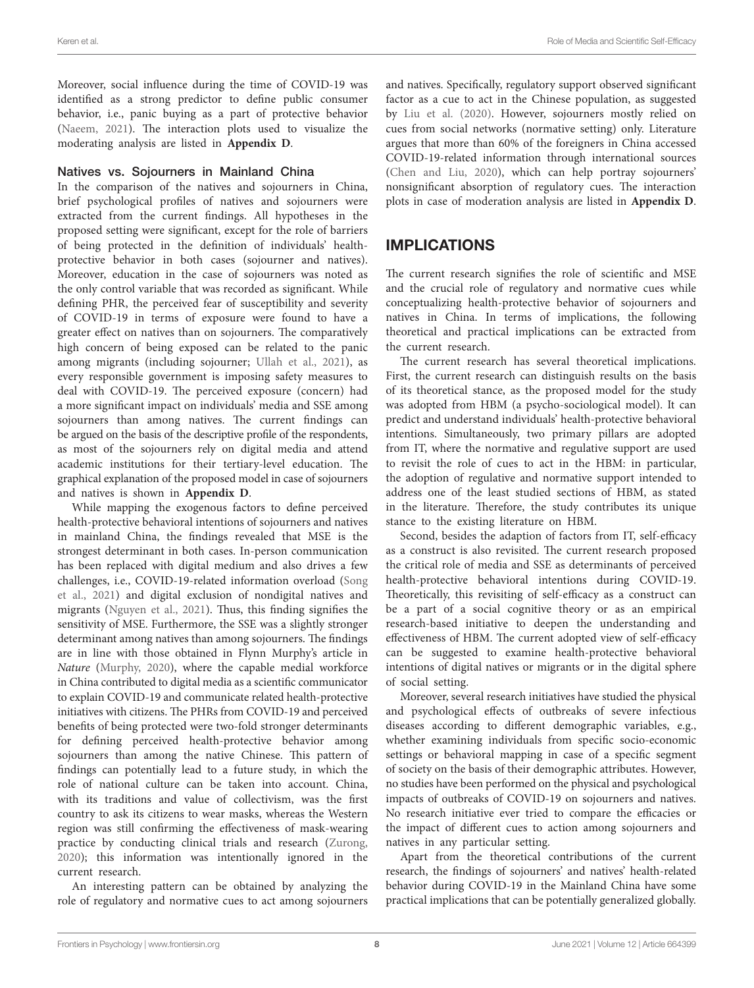Moreover, social influence during the time of COVID-19 was identified as a strong predictor to define public consumer behavior, i.e., panic buying as a part of protective behavior ([Naeem, 2021](#page-11-36)). The interaction plots used to visualize the moderating analysis are listed in **[Appendix D](#page-9-5)**.

#### Natives vs. Sojourners in Mainland China

In the comparison of the natives and sojourners in China, brief psychological profiles of natives and sojourners were extracted from the current findings. All hypotheses in the proposed setting were significant, except for the role of barriers of being protected in the definition of individuals' healthprotective behavior in both cases (sojourner and natives). Moreover, education in the case of sojourners was noted as the only control variable that was recorded as significant. While defining PHR, the perceived fear of susceptibility and severity of COVID-19 in terms of exposure were found to have a greater effect on natives than on sojourners. The comparatively high concern of being exposed can be related to the panic among migrants (including sojourner; [Ullah et al., 2021\)](#page-11-37), as every responsible government is imposing safety measures to deal with COVID-19. The perceived exposure (concern) had a more significant impact on individuals' media and SSE among sojourners than among natives. The current findings can be argued on the basis of the descriptive profile of the respondents, as most of the sojourners rely on digital media and attend academic institutions for their tertiary-level education. The graphical explanation of the proposed model in case of sojourners and natives is shown in **[Appendix D](#page-9-5)**.

While mapping the exogenous factors to define perceived health-protective behavioral intentions of sojourners and natives in mainland China, the findings revealed that MSE is the strongest determinant in both cases. In-person communication has been replaced with digital medium and also drives a few challenges, i.e., COVID-19-related information overload ([Song](#page-11-38)  [et al., 2021](#page-11-38)) and digital exclusion of nondigital natives and migrants [\(Nguyen et al., 2021](#page-11-39)). Thus, this finding signifies the sensitivity of MSE. Furthermore, the SSE was a slightly stronger determinant among natives than among sojourners. The findings are in line with those obtained in Flynn Murphy's article in *Nature* [\(Murphy, 2020](#page-11-40)), where the capable medial workforce in China contributed to digital media as a scientific communicator to explain COVID-19 and communicate related health-protective initiatives with citizens. The PHRs from COVID-19 and perceived benefits of being protected were two-fold stronger determinants for defining perceived health-protective behavior among sojourners than among the native Chinese. This pattern of findings can potentially lead to a future study, in which the role of national culture can be taken into account. China, with its traditions and value of collectivism, was the first country to ask its citizens to wear masks, whereas the Western region was still confirming the effectiveness of mask-wearing practice by conducting clinical trials and research ([Zurong,](#page-12-19)  [2020\)](#page-12-19); this information was intentionally ignored in the current research.

An interesting pattern can be obtained by analyzing the role of regulatory and normative cues to act among sojourners and natives. Specifically, regulatory support observed significant factor as a cue to act in the Chinese population, as suggested by [Liu et al. \(2020\)](#page-11-41). However, sojourners mostly relied on cues from social networks (normative setting) only. Literature argues that more than 60% of the foreigners in China accessed COVID-19-related information through international sources [\(Chen and Liu, 2020\)](#page-10-40), which can help portray sojourners' nonsignificant absorption of regulatory cues. The interaction plots in case of moderation analysis are listed in **[Appendix D](#page-9-5)**.

# IMPLICATIONS

The current research signifies the role of scientific and MSE and the crucial role of regulatory and normative cues while conceptualizing health-protective behavior of sojourners and natives in China. In terms of implications, the following theoretical and practical implications can be extracted from the current research.

The current research has several theoretical implications. First, the current research can distinguish results on the basis of its theoretical stance, as the proposed model for the study was adopted from HBM (a psycho-sociological model). It can predict and understand individuals' health-protective behavioral intentions. Simultaneously, two primary pillars are adopted from IT, where the normative and regulative support are used to revisit the role of cues to act in the HBM: in particular, the adoption of regulative and normative support intended to address one of the least studied sections of HBM, as stated in the literature. Therefore, the study contributes its unique stance to the existing literature on HBM.

Second, besides the adaption of factors from IT, self-efficacy as a construct is also revisited. The current research proposed the critical role of media and SSE as determinants of perceived health-protective behavioral intentions during COVID-19. Theoretically, this revisiting of self-efficacy as a construct can be a part of a social cognitive theory or as an empirical research-based initiative to deepen the understanding and effectiveness of HBM. The current adopted view of self-efficacy can be suggested to examine health-protective behavioral intentions of digital natives or migrants or in the digital sphere of social setting.

Moreover, several research initiatives have studied the physical and psychological effects of outbreaks of severe infectious diseases according to different demographic variables, e.g., whether examining individuals from specific socio-economic settings or behavioral mapping in case of a specific segment of society on the basis of their demographic attributes. However, no studies have been performed on the physical and psychological impacts of outbreaks of COVID-19 on sojourners and natives. No research initiative ever tried to compare the efficacies or the impact of different cues to action among sojourners and natives in any particular setting.

Apart from the theoretical contributions of the current research, the findings of sojourners' and natives' health-related behavior during COVID-19 in the Mainland China have some practical implications that can be potentially generalized globally.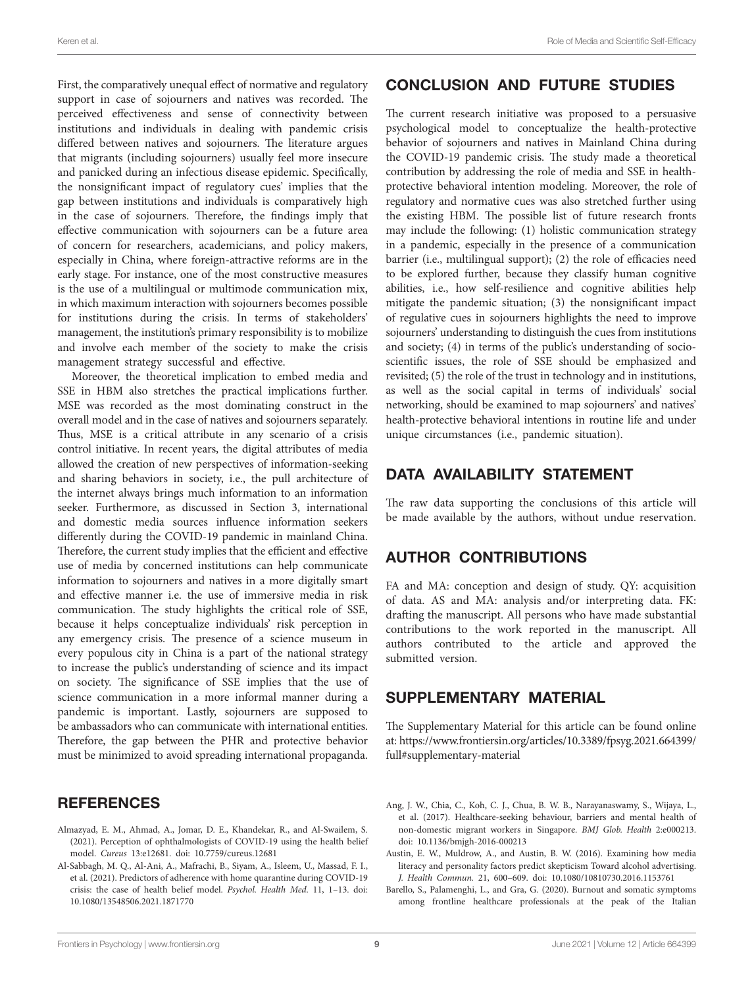First, the comparatively unequal effect of normative and regulatory support in case of sojourners and natives was recorded. The perceived effectiveness and sense of connectivity between institutions and individuals in dealing with pandemic crisis differed between natives and sojourners. The literature argues that migrants (including sojourners) usually feel more insecure and panicked during an infectious disease epidemic. Specifically, the nonsignificant impact of regulatory cues' implies that the gap between institutions and individuals is comparatively high in the case of sojourners. Therefore, the findings imply that effective communication with sojourners can be a future area of concern for researchers, academicians, and policy makers, especially in China, where foreign-attractive reforms are in the early stage. For instance, one of the most constructive measures is the use of a multilingual or multimode communication mix, in which maximum interaction with sojourners becomes possible for institutions during the crisis. In terms of stakeholders' management, the institution's primary responsibility is to mobilize and involve each member of the society to make the crisis management strategy successful and effective.

Moreover, the theoretical implication to embed media and SSE in HBM also stretches the practical implications further. MSE was recorded as the most dominating construct in the overall model and in the case of natives and sojourners separately. Thus, MSE is a critical attribute in any scenario of a crisis control initiative. In recent years, the digital attributes of media allowed the creation of new perspectives of information-seeking and sharing behaviors in society, i.e., the pull architecture of the internet always brings much information to an information seeker. Furthermore, as discussed in Section 3, international and domestic media sources influence information seekers differently during the COVID-19 pandemic in mainland China. Therefore, the current study implies that the efficient and effective use of media by concerned institutions can help communicate information to sojourners and natives in a more digitally smart and effective manner i.e. the use of immersive media in risk communication. The study highlights the critical role of SSE, because it helps conceptualize individuals' risk perception in any emergency crisis. The presence of a science museum in every populous city in China is a part of the national strategy to increase the public's understanding of science and its impact on society. The significance of SSE implies that the use of science communication in a more informal manner during a pandemic is important. Lastly, sojourners are supposed to be ambassadors who can communicate with international entities. Therefore, the gap between the PHR and protective behavior must be minimized to avoid spreading international propaganda.

### **REFERENCES**

- <span id="page-9-2"></span>Almazyad, E. M., Ahmad, A., Jomar, D. E., Khandekar, R., and Al-Swailem, S. (2021). Perception of ophthalmologists of COVID-19 using the health belief model. *Cureus* 13:e12681. doi: [10.7759/cureus.12681](https://doi.org/10.7759/cureus.12681)
- <span id="page-9-0"></span>Al-Sabbagh, M. Q., Al-Ani, A., Mafrachi, B., Siyam, A., Isleem, U., Massad, F. I., et al. (2021). Predictors of adherence with home quarantine during COVID-19 crisis: the case of health belief model. *Psychol. Health Med.* 11, 1–13. doi: [10.1080/13548506.2021.1871770](https://doi.org/10.1080/13548506.2021.1871770)

# CONCLUSION AND FUTURE STUDIES

The current research initiative was proposed to a persuasive psychological model to conceptualize the health-protective behavior of sojourners and natives in Mainland China during the COVID-19 pandemic crisis. The study made a theoretical contribution by addressing the role of media and SSE in healthprotective behavioral intention modeling. Moreover, the role of regulatory and normative cues was also stretched further using the existing HBM. The possible list of future research fronts may include the following: (1) holistic communication strategy in a pandemic, especially in the presence of a communication barrier (i.e., multilingual support); (2) the role of efficacies need to be explored further, because they classify human cognitive abilities, i.e., how self-resilience and cognitive abilities help mitigate the pandemic situation; (3) the nonsignificant impact of regulative cues in sojourners highlights the need to improve sojourners' understanding to distinguish the cues from institutions and society; (4) in terms of the public's understanding of socioscientific issues, the role of SSE should be emphasized and revisited; (5) the role of the trust in technology and in institutions, as well as the social capital in terms of individuals' social networking, should be examined to map sojourners' and natives' health-protective behavioral intentions in routine life and under unique circumstances (i.e., pandemic situation).

# DATA AVAILABILITY STATEMENT

The raw data supporting the conclusions of this article will be made available by the authors, without undue reservation.

# AUTHOR CONTRIBUTIONS

FA and MA: conception and design of study. QY: acquisition of data. AS and MA: analysis and/or interpreting data. FK: drafting the manuscript. All persons who have made substantial contributions to the work reported in the manuscript. All authors contributed to the article and approved the submitted version.

# <span id="page-9-5"></span>SUPPLEMENTARY MATERIAL

The Supplementary Material for this article can be found online at: [https://www.frontiersin.org/articles/10.3389/fpsyg.2021.664399/](https://www.frontiersin.org/articles/10.3389/fpsyg.2021.664399/full#supplementary-material) [full#supplementary-material](https://www.frontiersin.org/articles/10.3389/fpsyg.2021.664399/full#supplementary-material)

- <span id="page-9-4"></span>Ang, J. W., Chia, C., Koh, C. J., Chua, B. W. B., Narayanaswamy, S., Wijaya, L., et al. (2017). Healthcare-seeking behaviour, barriers and mental health of non-domestic migrant workers in Singapore. *BMJ Glob. Health* 2:e000213. doi: [10.1136/bmjgh-2016-000213](https://doi.org/10.1136/bmjgh-2016-000213)
- <span id="page-9-3"></span>Austin, E. W., Muldrow, A., and Austin, B. W. (2016). Examining how media literacy and personality factors predict skepticism Toward alcohol advertising. *J. Health Commun.* 21, 600–609. doi: [10.1080/10810730.2016.1153761](https://doi.org/10.1080/10810730.2016.1153761)
- <span id="page-9-1"></span>Barello, S., Palamenghi, L., and Gra, G. (2020). Burnout and somatic symptoms among frontline healthcare professionals at the peak of the Italian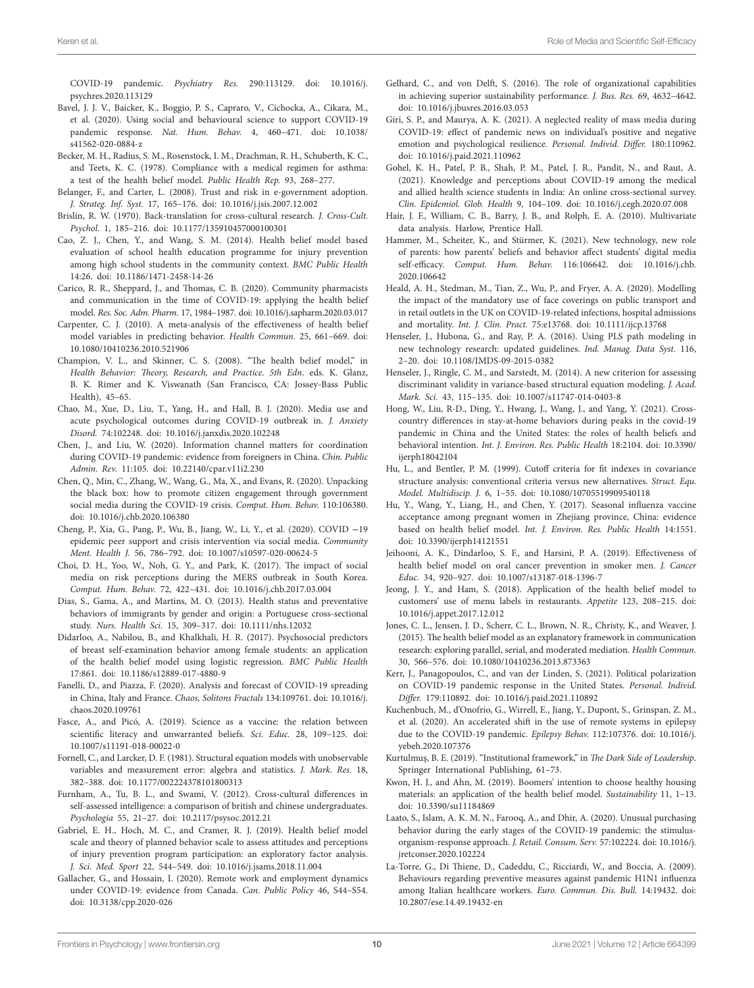COVID-19 pandemic. *Psychiatry Res.* 290:113129. doi: [10.1016/j.](https://doi.org/10.1016/j.psychres.2020.113129) [psychres.2020.113129](https://doi.org/10.1016/j.psychres.2020.113129)

- <span id="page-10-22"></span>Bavel, J. J. V., Baicker, K., Boggio, P. S., Capraro, V., Cichocka, A., Cikara, M., et al. (2020). Using social and behavioural science to support COVID-19 pandemic response. *Nat. Hum. Behav.* 4, 460–471. doi: [10.1038/](https://doi.org/10.1038/s41562-020-0884-z) [s41562-020-0884-z](https://doi.org/10.1038/s41562-020-0884-z)
- <span id="page-10-29"></span>Becker, M. H., Radius, S. M., Rosenstock, I. M., Drachman, R. H., Schuberth, K. C., and Teets, K. C. (1978). Compliance with a medical regimen for asthma: a test of the health belief model. *Public Health Rep.* 93, 268–277.
- <span id="page-10-39"></span>Belanger, F., and Carter, L. (2008). Trust and risk in e-government adoption. *J. Strateg. Inf. Syst.* 17, 165–176. doi: [10.1016/j.jsis.2007.12.002](https://doi.org/10.1016/j.jsis.2007.12.002)
- <span id="page-10-32"></span>Brislin, R. W. (1970). Back-translation for cross-cultural research. *J. Cross-Cult. Psychol.* 1, 185–216. doi: [10.1177/135910457000100301](https://doi.org/10.1177/135910457000100301)
- <span id="page-10-11"></span>Cao, Z. J., Chen, Y., and Wang, S. M. (2014). Health belief model based evaluation of school health education programme for injury prevention among high school students in the community context. *BMC Public Health* 14:26. doi: [10.1186/1471-2458-14-26](https://doi.org/10.1186/1471-2458-14-26)
- <span id="page-10-16"></span>Carico, R. R., Sheppard, J., and Thomas, C. B. (2020). Community pharmacists and communication in the time of COVID-19: applying the health belief model. *Res. Soc. Adm. Pharm.* 17, 1984–1987. doi: [10.1016/j.sapharm.2020.03.017](https://doi.org/10.1016/j.sapharm.2020.03.017)
- <span id="page-10-19"></span>Carpenter, C. J. (2010). A meta-analysis of the effectiveness of health belief model variables in predicting behavior. *Health Commun.* 25, 661–669. doi: [10.1080/10410236.2010.521906](https://doi.org/10.1080/10410236.2010.521906)
- <span id="page-10-18"></span>Champion, V. L., and Skinner, C. S. (2008). "The health belief model," in *Health Behavior: Theory, Research, and Practice*. *5th Edn*. eds. K. Glanz, B. K. Rimer and K. Viswanath (San Francisco, CA: Jossey-Bass Public Health), 45–65.
- <span id="page-10-31"></span>Chao, M., Xue, D., Liu, T., Yang, H., and Hall, B. J. (2020). Media use and acute psychological outcomes during COVID-19 outbreak in. *J. Anxiety Disord.* 74:102248. doi: [10.1016/j.janxdis.2020.102248](https://doi.org/10.1016/j.janxdis.2020.102248)
- <span id="page-10-40"></span>Chen, J., and Liu, W. (2020). Information channel matters for coordination during COVID-19 pandemic: evidence from foreigners in China. *Chin. Public Admin. Rev.* 11:105. doi: [10.22140/cpar.v11i2.230](https://doi.org/10.22140/cpar.v11i2.230)
- <span id="page-10-26"></span>Chen, Q., Min, C., Zhang, W., Wang, G., Ma, X., and Evans, R. (2020). Unpacking the black box: how to promote citizen engagement through government social media during the COVID-19 crisis. *Comput. Hum. Behav.* 110:106380. doi: [10.1016/j.chb.2020.106380](https://doi.org/10.1016/j.chb.2020.106380)
- <span id="page-10-6"></span>Cheng, P., Xia, G., Pang, P., Wu, B., Jiang, W., Li, Y., et al. (2020). COVID −19 epidemic peer support and crisis intervention via social media. *Community Ment. Health J.* 56, 786–792. doi: [10.1007/s10597-020-00624-5](https://doi.org/10.1007/s10597-020-00624-5)
- <span id="page-10-9"></span>Choi, D. H., Yoo, W., Noh, G. Y., and Park, K. (2017). The impact of social media on risk perceptions during the MERS outbreak in South Korea. *Comput. Hum. Behav.* 72, 422–431. doi: [10.1016/j.chb.2017.03.004](https://doi.org/10.1016/j.chb.2017.03.004)
- <span id="page-10-23"></span>Dias, S., Gama, A., and Martins, M. O. (2013). Health status and preventative behaviors of immigrants by gender and origin: a Portuguese cross-sectional study. *Nurs. Health Sci.* 15, 309–317. doi: [10.1111/nhs.12032](https://doi.org/10.1111/nhs.12032)
- <span id="page-10-12"></span>Didarloo, A., Nabilou, B., and Khalkhali, H. R. (2017). Psychosocial predictors of breast self-examination behavior among female students: an application of the health belief model using logistic regression. *BMC Public Health* 17:861. doi: [10.1186/s12889-017-4880-9](https://doi.org/10.1186/s12889-017-4880-9)
- <span id="page-10-4"></span>Fanelli, D., and Piazza, F. (2020). Analysis and forecast of COVID-19 spreading in China, Italy and France. *Chaos, Solitons Fractals* 134:109761. doi: [10.1016/j.](https://doi.org/10.1016/j.chaos.2020.109761) [chaos.2020.109761](https://doi.org/10.1016/j.chaos.2020.109761)
- <span id="page-10-28"></span>Fasce, A., and Picó, A. (2019). Science as a vaccine: the relation between scientific literacy and unwarranted beliefs. *Sci. Educ.* 28, 109–125. doi: [10.1007/s11191-018-00022-0](https://doi.org/10.1007/s11191-018-00022-0)
- <span id="page-10-33"></span>Fornell, C., and Larcker, D. F. (1981). Structural equation models with unobservable variables and measurement error: algebra and statistics. *J. Mark. Res.* 18, 382–388. doi: [10.1177/002224378101800313](https://doi.org/10.1177/002224378101800313)
- <span id="page-10-21"></span>Furnham, A., Tu, B. L., and Swami, V. (2012). Cross-cultural differences in self-assessed intelligence: a comparison of british and chinese undergraduates. *Psychologia* 55, 21–27. doi: [10.2117/psysoc.2012.21](https://doi.org/10.2117/psysoc.2012.21)
- <span id="page-10-14"></span>Gabriel, E. H., Hoch, M. C., and Cramer, R. J. (2019). Health belief model scale and theory of planned behavior scale to assess attitudes and perceptions of injury prevention program participation: an exploratory factor analysis. *J. Sci. Med. Sport* 22, 544–549. doi: [10.1016/j.jsams.2018.11.004](https://doi.org/10.1016/j.jsams.2018.11.004)
- <span id="page-10-1"></span>Gallacher, G., and Hossain, I. (2020). Remote work and employment dynamics under COVID-19: evidence from Canada. *Can. Public Policy* 46, S44–S54. doi: [10.3138/cpp.2020-026](https://doi.org/10.3138/cpp.2020-026)
- <span id="page-10-35"></span>Gelhard, C., and von Delft, S. (2016). The role of organizational capabilities in achieving superior sustainability performance. *J. Bus. Res.* 69, 4632–4642. doi: [10.1016/j.jbusres.2016.03.053](https://doi.org/10.1016/j.jbusres.2016.03.053)
- <span id="page-10-24"></span>Giri, S. P., and Maurya, A. K. (2021). A neglected reality of mass media during COVID-19: effect of pandemic news on individual's positive and negative emotion and psychological resilience. *Personal. Individ. Differ.* 180:110962. doi: [10.1016/j.paid.2021.110962](https://doi.org/10.1016/j.paid.2021.110962)
- <span id="page-10-5"></span>Gohel, K. H., Patel, P. B., Shah, P. M., Patel, J. R., Pandit, N., and Raut, A. (2021). Knowledge and perceptions about COVID-19 among the medical and allied health science students in India: An online cross-sectional survey. *Clin. Epidemiol. Glob. Health* 9, 104–109. doi: [10.1016/j.cegh.2020.07.008](https://doi.org/10.1016/j.cegh.2020.07.008)
- <span id="page-10-36"></span>Hair, J. F., William, C. B., Barry, J. B., and Rolph, E. A. (2010). Multivariate data analysis. Harlow, Prentice Hall.
- <span id="page-10-27"></span>Hammer, M., Scheiter, K., and Stürmer, K. (2021). New technology, new role of parents: how parents' beliefs and behavior affect students' digital media self-efficacy. *Comput. Hum. Behav.* 116:106642. doi: [10.1016/j.chb.](https://doi.org/10.1016/j.chb.2020.106642) [2020.106642](https://doi.org/10.1016/j.chb.2020.106642)
- <span id="page-10-2"></span>Heald, A. H., Stedman, M., Tian, Z., Wu, P., and Fryer, A. A. (2020). Modelling the impact of the mandatory use of face coverings on public transport and in retail outlets in the UK on COVID-19-related infections, hospital admissions and mortality. *Int. J. Clin. Pract.* 75:e13768. doi: [10.1111/ijcp.13768](https://doi.org/10.1111/ijcp.13768)
- <span id="page-10-37"></span>Henseler, J., Hubona, G., and Ray, P. A. (2016). Using PLS path modeling in new technology research: updated guidelines. *Ind. Manag. Data Syst.* 116, 2–20. doi: [10.1108/IMDS-09-2015-0382](https://doi.org/10.1108/IMDS-09-2015-0382)
- <span id="page-10-34"></span>Henseler, J., Ringle, C. M., and Sarstedt, M. (2014). A new criterion for assessing discriminant validity in variance-based structural equation modeling. *J. Acad. Mark. Sci.* 43, 115–135. doi: [10.1007/s11747-014-0403-8](https://doi.org/10.1007/s11747-014-0403-8)
- <span id="page-10-25"></span>Hong, W., Liu, R-D., Ding, Y., Hwang, J., Wang, J., and Yang, Y. (2021). Crosscountry differences in stay-at-home behaviors during peaks in the covid-19 pandemic in China and the United States: the roles of health beliefs and behavioral intention. *Int. J. Environ. Res. Public Health* 18:2104. doi: [10.3390/](https://doi.org/10.3390/ijerph18042104) [ijerph18042104](https://doi.org/10.3390/ijerph18042104)
- <span id="page-10-38"></span>Hu, L., and Bentler, P. M. (1999). Cutoff criteria for fit indexes in covariance structure analysis: conventional criteria versus new alternatives. *Struct. Equ. Model. Multidiscip. J.* 6, 1–55. doi: [10.1080/10705519909540118](https://doi.org/10.1080/10705519909540118)
- <span id="page-10-10"></span>Hu, Y., Wang, Y., Liang, H., and Chen, Y. (2017). Seasonal influenza vaccine acceptance among pregnant women in Zhejiang province, China: evidence based on health belief model. *Int. J. Environ. Res. Public Health* 14:1551. doi: [10.3390/ijerph14121551](https://doi.org/10.3390/ijerph14121551)
- <span id="page-10-13"></span>Jeihooni, A. K., Dindarloo, S. F., and Harsini, P. A. (2019). Effectiveness of health belief model on oral cancer prevention in smoker men. *J. Cancer Educ.* 34, 920–927. doi: [10.1007/s13187-018-1396-7](https://doi.org/10.1007/s13187-018-1396-7)
- <span id="page-10-30"></span>Jeong, J. Y., and Ham, S. (2018). Application of the health belief model to customers' use of menu labels in restaurants. *Appetite* 123, 208–215. doi: [10.1016/j.appet.2017.12.012](https://doi.org/10.1016/j.appet.2017.12.012)
- <span id="page-10-17"></span>Jones, C. L., Jensen, J. D., Scherr, C. L., Brown, N. R., Christy, K., and Weaver, J. (2015). The health belief model as an explanatory framework in communication research: exploring parallel, serial, and moderated mediation. *Health Commun.* 30, 566–576. doi: [10.1080/10410236.2013.873363](https://doi.org/10.1080/10410236.2013.873363)
- <span id="page-10-0"></span>Kerr, J., Panagopoulos, C., and van der Linden, S. (2021). Political polarization on COVID-19 pandemic response in the United States. *Personal. Individ. Differ.* 179:110892. doi: [10.1016/j.paid.2021.110892](https://doi.org/10.1016/j.paid.2021.110892)
- <span id="page-10-3"></span>Kuchenbuch, M., d'Onofrio, G., Wirrell, E., Jiang, Y., Dupont, S., Grinspan, Z. M., et al. (2020). An accelerated shift in the use of remote systems in epilepsy due to the COVID-19 pandemic. *Epilepsy Behav.* 112:107376. doi: [10.1016/j.](https://doi.org/10.1016/j.yebeh.2020.107376) [yebeh.2020.107376](https://doi.org/10.1016/j.yebeh.2020.107376)
- <span id="page-10-20"></span>Kurtulmuş, B. E. (2019). "Institutional framework," in *The Dark Side of Leadership*. Springer International Publishing, 61–73.
- <span id="page-10-15"></span>Kwon, H. J., and Ahn, M. (2019). Boomers' intention to choose healthy housing materials: an application of the health belief model. *Sustainability* 11, 1–13. doi: [10.3390/su11184869](https://doi.org/10.3390/su11184869)
- <span id="page-10-7"></span>Laato, S., Islam, A. K. M. N., Farooq, A., and Dhir, A. (2020). Unusual purchasing behavior during the early stages of the COVID-19 pandemic: the stimulusorganism-response approach. *J. Retail. Consum. Serv.* 57:102224. doi: [10.1016/j.](https://doi.org/10.1016/j.jretconser.2020.102224) [jretconser.2020.102224](https://doi.org/10.1016/j.jretconser.2020.102224)
- <span id="page-10-8"></span>La-Torre, G., Di Thiene, D., Cadeddu, C., Ricciardi, W., and Boccia, A. (2009). Behaviours regarding preventive measures against pandemic H1N1 influenza among Italian healthcare workers. *Euro. Commun. Dis. Bull.* 14:19432. doi: [10.2807/ese.14.49.19432-en](https://doi.org/10.2807/ese.14.49.19432-en)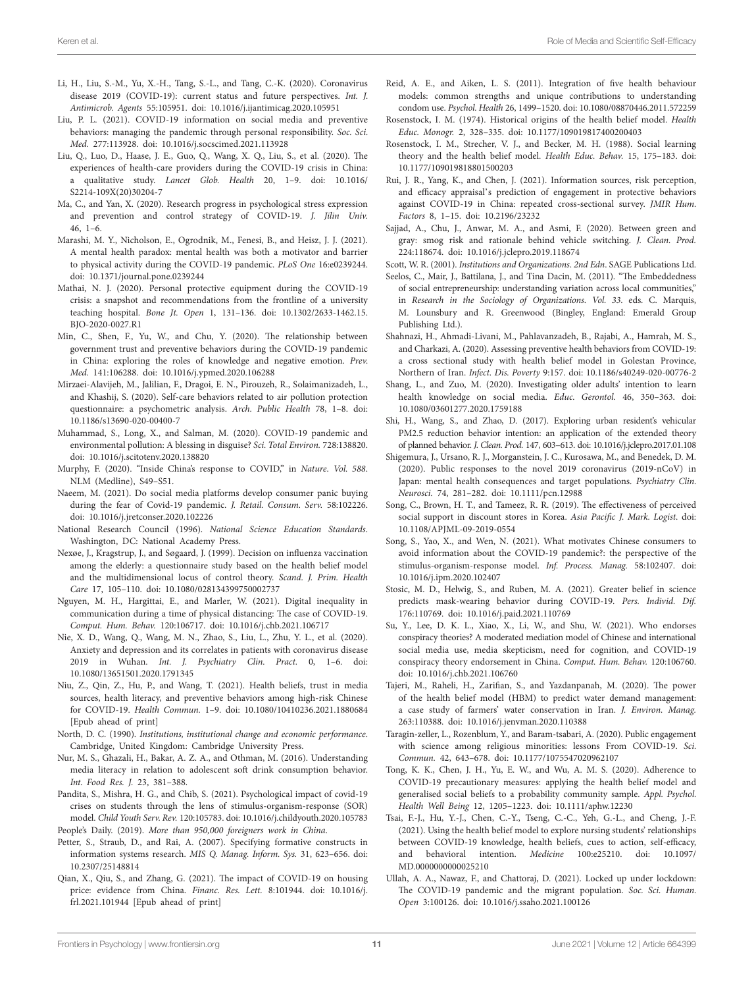- <span id="page-11-2"></span>Li, H., Liu, S.-M., Yu, X.-H., Tang, S.-L., and Tang, C.-K. (2020). Coronavirus disease 2019 (COVID-19): current status and future perspectives. *Int. J. Antimicrob. Agents* 55:105951. doi: [10.1016/j.ijantimicag.2020.105951](https://doi.org/10.1016/j.ijantimicag.2020.105951)
- <span id="page-11-24"></span>Liu, P. L. (2021). COVID-19 information on social media and preventive behaviors: managing the pandemic through personal responsibility. *Soc. Sci. Med.* 277:113928. doi: [10.1016/j.socscimed.2021.113928](https://doi.org/10.1016/j.socscimed.2021.113928)
- <span id="page-11-41"></span>Liu, Q., Luo, D., Haase, J. E., Guo, Q., Wang, X. Q., Liu, S., et al. (2020). The experiences of health-care providers during the COVID-19 crisis in China: a qualitative study. *Lancet Glob. Health* 20, 1–9. doi: [10.1016/](https://doi.org/10.1016/S2214-109X(20)30204-7) [S2214-109X\(20\)30204-7](https://doi.org/10.1016/S2214-109X(20)30204-7)
- <span id="page-11-7"></span>Ma, C., and Yan, X. (2020). Research progress in psychological stress expression and prevention and control strategy of COVID-19. *J. Jilin Univ.* 46, 1–6.
- <span id="page-11-29"></span>Marashi, M. Y., Nicholson, E., Ogrodnik, M., Fenesi, B., and Heisz, J. J. (2021). A mental health paradox: mental health was both a motivator and barrier to physical activity during the COVID-19 pandemic. *PLoS One* 16:e0239244. doi: [10.1371/journal.pone.0239244](https://doi.org/10.1371/journal.pone.0239244)
- <span id="page-11-10"></span>Mathai, N. J. (2020). Personal protective equipment during the COVID-19 crisis: a snapshot and recommendations from the frontline of a university teaching hospital. *Bone Jt. Open* 1, 131–136. doi: [10.1302/2633-1462.15.](https://doi.org/10.1302/2633-1462.15.BJO-2020-0027.R1) [BJO-2020-0027.R1](https://doi.org/10.1302/2633-1462.15.BJO-2020-0027.R1)
- <span id="page-11-35"></span>Min, C., Shen, F., Yu, W., and Chu, Y. (2020). The relationship between government trust and preventive behaviors during the COVID-19 pandemic in China: exploring the roles of knowledge and negative emotion. *Prev. Med.* 141:106288. doi: [10.1016/j.ypmed.2020.106288](https://doi.org/10.1016/j.ypmed.2020.106288)
- <span id="page-11-14"></span>Mirzaei-Alavijeh, M., Jalilian, F., Dragoi, E. N., Pirouzeh, R., Solaimanizadeh, L., and Khashij, S. (2020). Self-care behaviors related to air pollution protection questionnaire: a psychometric analysis. *Arch. Public Health* 78, 1–8. doi: [10.1186/s13690-020-00400-7](https://doi.org/10.1186/s13690-020-00400-7)
- <span id="page-11-0"></span>Muhammad, S., Long, X., and Salman, M. (2020). COVID-19 pandemic and environmental pollution: A blessing in disguise? *Sci. Total Environ.* 728:138820. doi: [10.1016/j.scitotenv.2020.138820](https://doi.org/10.1016/j.scitotenv.2020.138820)
- <span id="page-11-40"></span>Murphy, F. (2020). "Inside China's response to COVID," in *Nature*. *Vol. 588*. NLM (Medline), S49–S51.
- <span id="page-11-36"></span>Naeem, M. (2021). Do social media platforms develop consumer panic buying during the fear of Covid-19 pandemic. *J. Retail. Consum. Serv.* 58:102226. doi: [10.1016/j.jretconser.2020.102226](https://doi.org/10.1016/j.jretconser.2020.102226)
- <span id="page-11-27"></span>National Research Council (1996). *National Science Education Standards*. Washington, DC: National Academy Press.
- <span id="page-11-11"></span>Nexøe, J., Kragstrup, J., and Søgaard, J. (1999). Decision on influenza vaccination among the elderly: a questionnaire study based on the health belief model and the multidimensional locus of control theory. *Scand. J. Prim. Health Care* 17, 105–110. doi: [10.1080/028134399750002737](https://doi.org/10.1080/028134399750002737)
- <span id="page-11-39"></span>Nguyen, M. H., Hargittai, E., and Marler, W. (2021). Digital inequality in communication during a time of physical distancing: The case of COVID-19. *Comput. Hum. Behav.* 120:106717. doi: [10.1016/j.chb.2021.106717](https://doi.org/10.1016/j.chb.2021.106717)
- <span id="page-11-9"></span>Nie, X. D., Wang, Q., Wang, M. N., Zhao, S., Liu, L., Zhu, Y. L., et al. (2020). Anxiety and depression and its correlates in patients with coronavirus disease 2019 in Wuhan. *Int. J. Psychiatry Clin. Pract.* 0, 1–6. doi: [10.1080/13651501.2020.1791345](https://doi.org/10.1080/13651501.2020.1791345)
- <span id="page-11-16"></span>Niu, Z., Qin, Z., Hu, P., and Wang, T. (2021). Health beliefs, trust in media sources, health literacy, and preventive behaviors among high-risk Chinese for COVID-19. *Health Commun.* 1–9. doi: [10.1080/10410236.2021.1880684](https://doi.org/10.1080/10410236.2021.1880684) [Epub ahead of print]
- <span id="page-11-20"></span>North, D. C. (1990). *Institutions, institutional change and economic performance*. Cambridge, United Kingdom: Cambridge University Press.
- <span id="page-11-26"></span>Nur, M. S., Ghazali, H., Bakar, A. Z. A., and Othman, M. (2016). Understanding media literacy in relation to adolescent soft drink consumption behavior. *Int. Food Res. J.* 23, 381–388.
- <span id="page-11-4"></span>Pandita, S., Mishra, H. G., and Chib, S. (2021). Psychological impact of covid-19 crises on students through the lens of stimulus-organism-response (SOR) model. *Child Youth Serv. Rev.* 120:105783. doi: [10.1016/j.childyouth.2020.105783](https://doi.org/10.1016/j.childyouth.2020.105783) People's Daily. (2019). *More than 950,000 foreigners work in China*.
- <span id="page-11-33"></span><span id="page-11-5"></span>Petter, S., Straub, D., and Rai, A. (2007). Specifying formative constructs in information systems research. *MIS Q. Manag. Inform. Sys.* 31, 623–656. doi: [10.2307/25148814](https://doi.org/10.2307/25148814)
- <span id="page-11-1"></span>Qian, X., Qiu, S., and Zhang, G. (2021). The impact of COVID-19 on housing price: evidence from China. *Financ. Res. Lett.* 8:101944. doi: [10.1016/j.](https://doi.org/10.1016/j.frl.2021.101944) [frl.2021.101944](https://doi.org/10.1016/j.frl.2021.101944) [Epub ahead of print]
- <span id="page-11-13"></span>Reid, A. E., and Aiken, L. S. (2011). Integration of five health behaviour models: common strengths and unique contributions to understanding condom use. *Psychol. Health* 26, 1499–1520. doi: [10.1080/08870446.2011.572259](https://doi.org/10.1080/08870446.2011.572259)
- <span id="page-11-25"></span>Rosenstock, I. M. (1974). Historical origins of the health belief model. *Health Educ. Monogr.* 2, 328–335. doi: [10.1177/109019817400200403](https://doi.org/10.1177/109019817400200403)
- <span id="page-11-8"></span>Rosenstock, I. M., Strecher, V. J., and Becker, M. H. (1988). Social learning theory and the health belief model. *Health Educ. Behav.* 15, 175–183. doi: [10.1177/109019818801500203](https://doi.org/10.1177/109019818801500203)
- <span id="page-11-34"></span>Rui, J. R., Yang, K., and Chen, J. (2021). Information sources, risk perception, and efficacy appraisal's prediction of engagement in protective behaviors against COVID-19 in China: repeated cross-sectional survey. *JMIR Hum. Factors* 8, 1–15. doi: [10.2196/23232](https://doi.org/10.2196/23232)
- <span id="page-11-31"></span>Sajjad, A., Chu, J., Anwar, M. A., and Asmi, F. (2020). Between green and gray: smog risk and rationale behind vehicle switching. *J. Clean. Prod.* 224:118674. doi: [10.1016/j.jclepro.2019.118674](https://doi.org/10.1016/j.jclepro.2019.118674)

<span id="page-11-21"></span>Scott, W. R. (2001). *Institutions and Organizations*. *2nd Edn*. SAGE Publications Ltd.

- <span id="page-11-22"></span>Seelos, C., Mair, J., Battilana, J., and Tina Dacin, M. (2011). "The Embeddedness of social entrepreneurship: understanding variation across local communities," in *Research in the Sociology of Organizations*. *Vol. 33*. eds. C. Marquis, M. Lounsbury and R. Greenwood (Bingley, England: Emerald Group Publishing Ltd.).
- <span id="page-11-3"></span>Shahnazi, H., Ahmadi-Livani, M., Pahlavanzadeh, B., Rajabi, A., Hamrah, M. S., and Charkazi, A. (2020). Assessing preventive health behaviors from COVID-19: a cross sectional study with health belief model in Golestan Province, Northern of Iran. *Infect. Dis. Poverty* 9:157. doi: [10.1186/s40249-020-00776-2](https://doi.org/10.1186/s40249-020-00776-2)
- <span id="page-11-17"></span>Shang, L., and Zuo, M. (2020). Investigating older adults' intention to learn health knowledge on social media. *Educ. Gerontol.* 46, 350–363. doi: [10.1080/03601277.2020.1759188](https://doi.org/10.1080/03601277.2020.1759188)
- <span id="page-11-23"></span>Shi, H., Wang, S., and Zhao, D. (2017). Exploring urban resident's vehicular PM2.5 reduction behavior intention: an application of the extended theory of planned behavior. *J. Clean. Prod.* 147, 603–613. doi: [10.1016/j.jclepro.2017.01.108](https://doi.org/10.1016/j.jclepro.2017.01.108)
- <span id="page-11-6"></span>Shigemura, J., Ursano, R. J., Morganstein, J. C., Kurosawa, M., and Benedek, D. M. (2020). Public responses to the novel 2019 coronavirus (2019-nCoV) in Japan: mental health consequences and target populations. *Psychiatry Clin. Neurosci.* 74, 281–282. doi: [10.1111/pcn.12988](https://doi.org/10.1111/pcn.12988)
- <span id="page-11-32"></span>Song, C., Brown, H. T., and Tameez, R. R. (2019). The effectiveness of perceived social support in discount stores in Korea. *Asia Pacific J. Mark. Logist*. doi: [10.1108/APJML-09-2019-0554](https://doi.org/10.1108/APJML-09-2019-0554)
- <span id="page-11-38"></span>Song, S., Yao, X., and Wen, N. (2021). What motivates Chinese consumers to avoid information about the COVID-19 pandemic?: the perspective of the stimulus-organism-response model. *Inf. Process. Manag.* 58:102407. doi: [10.1016/j.ipm.2020.102407](https://doi.org/10.1016/j.ipm.2020.102407)
- <span id="page-11-19"></span>Stosic, M. D., Helwig, S., and Ruben, M. A. (2021). Greater belief in science predicts mask-wearing behavior during COVID-19. *Pers. Individ. Dif.* 176:110769. doi: [10.1016/j.paid.2021.110769](https://doi.org/10.1016/j.paid.2021.110769)
- <span id="page-11-18"></span>Su, Y., Lee, D. K. L., Xiao, X., Li, W., and Shu, W. (2021). Who endorses conspiracy theories? A moderated mediation model of Chinese and international social media use, media skepticism, need for cognition, and COVID-19 conspiracy theory endorsement in China. *Comput. Hum. Behav.* 120:106760. doi: [10.1016/j.chb.2021.106760](https://doi.org/10.1016/j.chb.2021.106760)
- <span id="page-11-15"></span>Tajeri, M., Raheli, H., Zarifian, S., and Yazdanpanah, M. (2020). The power of the health belief model (HBM) to predict water demand management: a case study of farmers' water conservation in Iran. *J. Environ. Manag.* 263:110388. doi: [10.1016/j.jenvman.2020.110388](https://doi.org/10.1016/j.jenvman.2020.110388)
- <span id="page-11-28"></span>Taragin-zeller, L., Rozenblum, Y., and Baram-tsabari, A. (2020). Public engagement with science among religious minorities: lessons From COVID-19. *Sci. Commun.* 42, 643–678. doi: [10.1177/1075547020962107](https://doi.org/10.1177/1075547020962107)
- <span id="page-11-12"></span>Tong, K. K., Chen, J. H., Yu, E. W., and Wu, A. M. S. (2020). Adherence to COVID-19 precautionary measures: applying the health belief model and generalised social beliefs to a probability community sample. *Appl. Psychol. Health Well Being* 12, 1205–1223. doi: [10.1111/aphw.12230](https://doi.org/10.1111/aphw.12230)
- <span id="page-11-30"></span>Tsai, F.-J., Hu, Y.-J., Chen, C.-Y., Tseng, C.-C., Yeh, G.-L., and Cheng, J.-F. (2021). Using the health belief model to explore nursing students' relationships between COVID-19 knowledge, health beliefs, cues to action, self-efficacy, and behavioral intention. *Medicine* 100:e25210. doi: [10.1097/](https://doi.org/10.1097/MD.0000000000025210) [MD.0000000000025210](https://doi.org/10.1097/MD.0000000000025210)
- <span id="page-11-37"></span>Ullah, A. A., Nawaz, F., and Chattoraj, D. (2021). Locked up under lockdown: The COVID-19 pandemic and the migrant population. *Soc. Sci. Human. Open* 3:100126. doi: [10.1016/j.ssaho.2021.100126](https://doi.org/10.1016/j.ssaho.2021.100126)